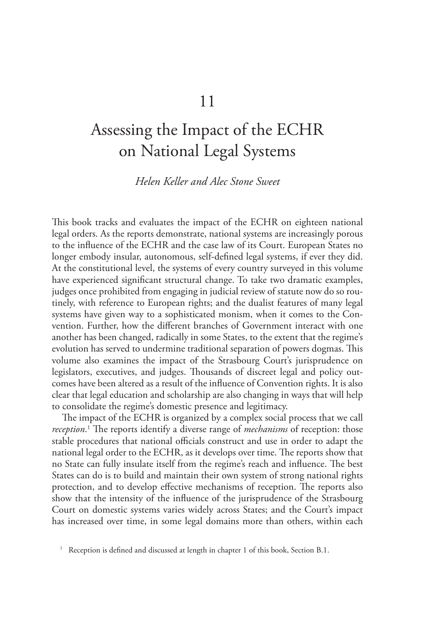## *Helen Keller and Alec Stone Sweet*

This book tracks and evaluates the impact of the ECHR on eighteen national legal orders. As the reports demonstrate, national systems are increasingly porous to the influence of the ECHR and the case law of its Court. European States no longer embody insular, autonomous, self-defined legal systems, if ever they did. At the constitutional level, the systems of every country surveyed in this volume have experienced significant structural change. To take two dramatic examples, judges once prohibited from engaging in judicial review of statute now do so routinely, with reference to European rights; and the dualist features of many legal systems have given way to a sophisticated monism, when it comes to the Convention. Further, how the different branches of Government interact with one another has been changed, radically in some States, to the extent that the regime's evolution has served to undermine traditional separation of powers dogmas. This volume also examines the impact of the Strasbourg Court's jurisprudence on legislators, executives, and judges. Thousands of discreet legal and policy outcomes have been altered as a result of the influence of Convention rights. It is also clear that legal education and scholarship are also changing in ways that will help to consolidate the regime's domestic presence and legitimacy.

The impact of the ECHR is organized by a complex social process that we call *reception*. 1 The reports identify a diverse range of *mechanisms* of reception: those stable procedures that national officials construct and use in order to adapt the national legal order to the ECHR, as it develops over time. The reports show that no State can fully insulate itself from the regime's reach and influence. The best States can do is to build and maintain their own system of strong national rights protection, and to develop effective mechanisms of reception. The reports also show that the intensity of the influence of the jurisprudence of the Strasbourg Court on domestic systems varies widely across States; and the Court's impact has increased over time, in some legal domains more than others, within each

<sup>&</sup>lt;sup>1</sup> Reception is defined and discussed at length in chapter 1 of this book, Section B.1.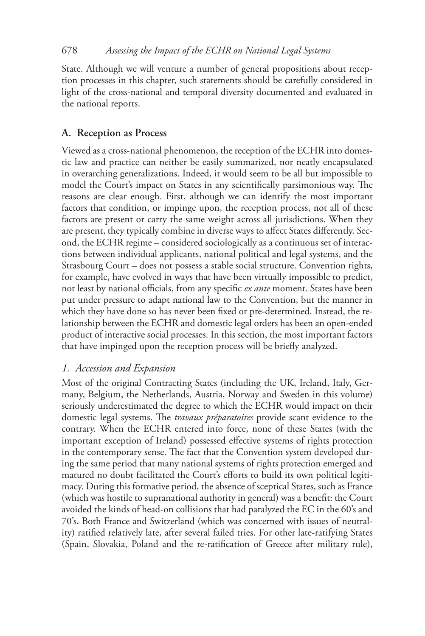State. Although we will venture a number of general propositions about reception processes in this chapter, such statements should be carefully considered in light of the cross-national and temporal diversity documented and evaluated in the national reports.

# **A. Reception as Process**

Viewed as a cross-national phenomenon, the reception of the ECHR into domestic law and practice can neither be easily summarized, nor neatly encapsulated in overarching generalizations. Indeed, it would seem to be all but impossible to model the Court's impact on States in any scientifically parsimonious way. The reasons are clear enough. First, although we can identify the most important factors that condition, or impinge upon, the reception process, not all of these factors are present or carry the same weight across all jurisdictions. When they are present, they typically combine in diverse ways to affect States differently. Second, the ECHR regime – considered sociologically as a continuous set of interactions between individual applicants, national political and legal systems, and the Strasbourg Court – does not possess a stable social structure. Convention rights, for example, have evolved in ways that have been virtually impossible to predict, not least by national officials, from any specific *ex ante* moment. States have been put under pressure to adapt national law to the Convention, but the manner in which they have done so has never been fixed or pre-determined. Instead, the relationship between the ECHR and domestic legal orders has been an open-ended product of interactive social processes. In this section, the most important factors that have impinged upon the reception process will be briefly analyzed.

# *1. Accession and Expansion*

Most of the original Contracting States (including the UK, Ireland, Italy, Germany, Belgium, the Netherlands, Austria, Norway and Sweden in this volume) seriously underestimated the degree to which the ECHR would impact on their domestic legal systems. The *travaux préparatoires* provide scant evidence to the contrary. When the ECHR entered into force, none of these States (with the important exception of Ireland) possessed effective systems of rights protection in the contemporary sense. The fact that the Convention system developed during the same period that many national systems of rights protection emerged and matured no doubt facilitated the Court's efforts to build its own political legitimacy. During this formative period, the absence of sceptical States, such as France (which was hostile to supranational authority in general) was a benefit: the Court avoided the kinds of head-on collisions that had paralyzed the EC in the 60's and 70's. Both France and Switzerland (which was concerned with issues of neutrality) ratified relatively late, after several failed tries. For other late-ratifying States (Spain, Slovakia, Poland and the re-ratification of Greece after military rule),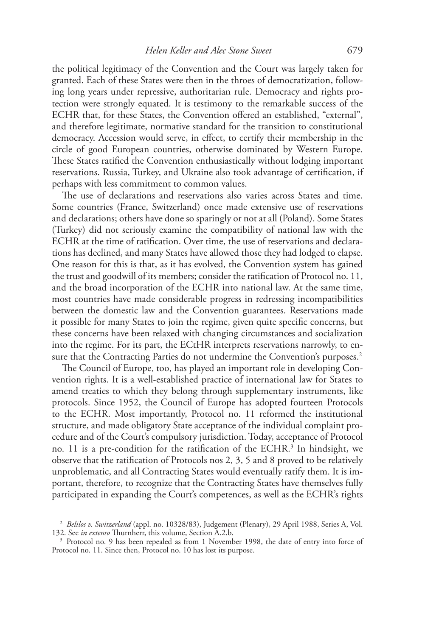the political legitimacy of the Convention and the Court was largely taken for granted. Each of these States were then in the throes of democratization, following long years under repressive, authoritarian rule. Democracy and rights protection were strongly equated. It is testimony to the remarkable success of the ECHR that, for these States, the Convention offered an established, "external", and therefore legitimate, normative standard for the transition to constitutional democracy. Accession would serve, in effect, to certify their membership in the circle of good European countries, otherwise dominated by Western Europe. These States ratified the Convention enthusiastically without lodging important reservations. Russia, Turkey, and Ukraine also took advantage of certification, if perhaps with less commitment to common values.

The use of declarations and reservations also varies across States and time. Some countries (France, Switzerland) once made extensive use of reservations and declarations; others have done so sparingly or not at all (Poland). Some States (Turkey) did not seriously examine the compatibility of national law with the ECHR at the time of ratification. Over time, the use of reservations and declarations has declined, and many States have allowed those they had lodged to elapse. One reason for this is that, as it has evolved, the Convention system has gained the trust and goodwill of its members; consider the ratification of Protocol no. 11, and the broad incorporation of the ECHR into national law. At the same time, most countries have made considerable progress in redressing incompatibilities between the domestic law and the Convention guarantees. Reservations made it possible for many States to join the regime, given quite specific concerns, but these concerns have been relaxed with changing circumstances and socialization into the regime. For its part, the ECtHR interprets reservations narrowly, to ensure that the Contracting Parties do not undermine the Convention's purposes.<sup>2</sup>

The Council of Europe, too, has played an important role in developing Convention rights. It is a well-established practice of international law for States to amend treaties to which they belong through supplementary instruments, like protocols. Since 1952, the Council of Europe has adopted fourteen Protocols to the ECHR. Most importantly, Protocol no. 11 reformed the institutional structure, and made obligatory State acceptance of the individual complaint procedure and of the Court's compulsory jurisdiction. Today, acceptance of Protocol no. 11 is a pre-condition for the ratification of the ECHR.<sup>3</sup> In hindsight, we observe that the ratification of Protocols nos 2, 3, 5 and 8 proved to be relatively unproblematic, and all Contracting States would eventually ratify them. It is important, therefore, to recognize that the Contracting States have themselves fully participated in expanding the Court's competences, as well as the ECHR's rights

<sup>2</sup> *Belilos v. Switzerland* (appl. no. 10328/83), Judgement (Plenary), 29 April 1988, Series A, Vol. 132. See *in extenso* Thurnherr, this volume, Section A.2.b.

<sup>3</sup> Protocol no. 9 has been repealed as from 1 November 1998, the date of entry into force of Protocol no. 11. Since then, Protocol no. 10 has lost its purpose.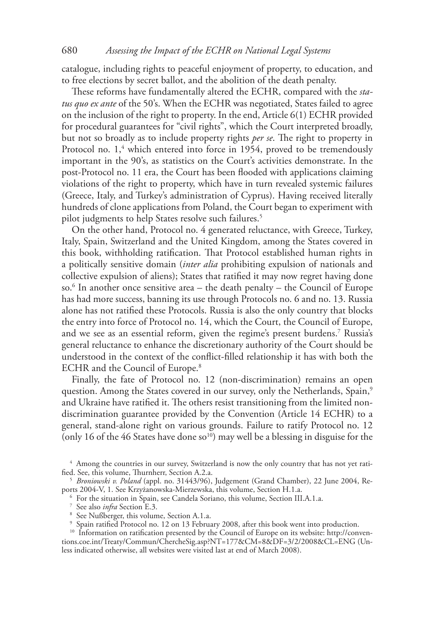catalogue, including rights to peaceful enjoyment of property, to education, and to free elections by secret ballot, and the abolition of the death penalty.

These reforms have fundamentally altered the ECHR, compared with the *status quo ex ante* of the 50's. When the ECHR was negotiated, States failed to agree on the inclusion of the right to property. In the end, Article 6(1) ECHR provided for procedural guarantees for "civil rights", which the Court interpreted broadly, but not so broadly as to include property rights *per se*. The right to property in Protocol no. 1,<sup>4</sup> which entered into force in 1954, proved to be tremendously important in the 90's, as statistics on the Court's activities demonstrate. In the post-Protocol no. 11 era, the Court has been flooded with applications claiming violations of the right to property, which have in turn revealed systemic failures (Greece, Italy, and Turkey's administration of Cyprus). Having received literally hundreds of clone applications from Poland, the Court began to experiment with pilot judgments to help States resolve such failures.<sup>5</sup>

On the other hand, Protocol no. 4 generated reluctance, with Greece, Turkey, Italy, Spain, Switzerland and the United Kingdom, among the States covered in this book, withholding ratification. That Protocol established human rights in a politically sensitive domain (*inter alia* prohibiting expulsion of nationals and collective expulsion of aliens); States that ratified it may now regret having done so.6 In another once sensitive area – the death penalty – the Council of Europe has had more success, banning its use through Protocols no. 6 and no. 13. Russia alone has not ratified these Protocols. Russia is also the only country that blocks the entry into force of Protocol no. 14, which the Court, the Council of Europe, and we see as an essential reform, given the regime's present burdens.7 Russia's general reluctance to enhance the discretionary authority of the Court should be understood in the context of the conflict-filled relationship it has with both the ECHR and the Council of Europe.<sup>8</sup>

Finally, the fate of Protocol no. 12 (non-discrimination) remains an open question. Among the States covered in our survey, only the Netherlands, Spain,<sup>9</sup> and Ukraine have ratified it. The others resist transitioning from the limited nondiscrimination guarantee provided by the Convention (Article 14 ECHR) to a general, stand-alone right on various grounds. Failure to ratify Protocol no. 12 (only 16 of the 46 States have done so<sup>10</sup>) may well be a blessing in disguise for the

<sup>6</sup> For the situation in Spain, see Candela Soriano, this volume, Section III.A.1.a.

<sup>7</sup> See also *infra* Section E.3.

<sup>9</sup> Spain ratified Protocol no. 12 on 13 February 2008, after this book went into production.

<sup>&</sup>lt;sup>4</sup> Among the countries in our survey, Switzerland is now the only country that has not yet ratified. See, this volume, Thurnherr, Section A.2.a.

<sup>5</sup> *Broniowski v. Poland* (appl. no. 31443/96), Judgement (Grand Chamber), 22 June 2004, Reports 2004-V, 1. See Krzyżanowska-Mierzewska, this volume, Section H.1.a.

<sup>8</sup> See Nußberger, this volume, Section A.1.a.

<sup>&</sup>lt;sup>10</sup> Information on ratification presented by the Council of Europe on its website: http://conventions.coe.int/Treaty/Commun/ChercheSig.asp?NT=177&CM=8&DF=3/2/2008&CL=ENG (Unless indicated otherwise, all websites were visited last at end of March 2008).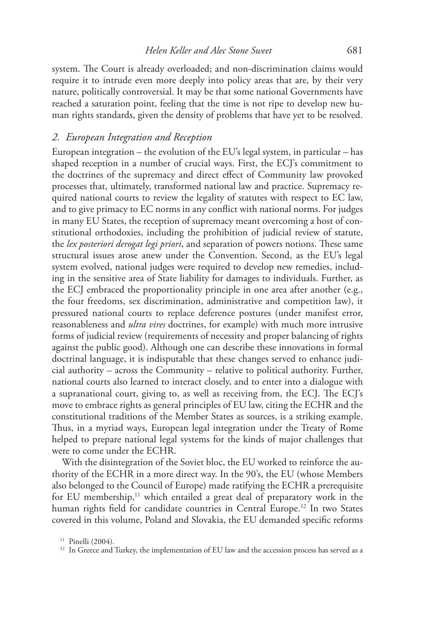system. The Court is already overloaded; and non-discrimination claims would require it to intrude even more deeply into policy areas that are, by their very nature, politically controversial. It may be that some national Governments have reached a saturation point, feeling that the time is not ripe to develop new human rights standards, given the density of problems that have yet to be resolved.

#### *2. European Integration and Reception*

European integration – the evolution of the EU's legal system, in particular – has shaped reception in a number of crucial ways. First, the ECJ's commitment to the doctrines of the supremacy and direct effect of Community law provoked processes that, ultimately, transformed national law and practice. Supremacy required national courts to review the legality of statutes with respect to EC law, and to give primacy to EC norms in any conflict with national norms. For judges in many EU States, the reception of supremacy meant overcoming a host of constitutional orthodoxies, including the prohibition of judicial review of statute, the *lex posteriori derogat legi priori*, and separation of powers notions. These same structural issues arose anew under the Convention. Second, as the EU's legal system evolved, national judges were required to develop new remedies, including in the sensitive area of State liability for damages to individuals. Further, as the ECJ embraced the proportionality principle in one area after another (e.g., the four freedoms, sex discrimination, administrative and competition law), it pressured national courts to replace deference postures (under manifest error, reasonableness and *ultra vires* doctrines, for example) with much more intrusive forms of judicial review (requirements of necessity and proper balancing of rights against the public good). Although one can describe these innovations in formal doctrinal language, it is indisputable that these changes served to enhance judicial authority – across the Community – relative to political authority. Further, national courts also learned to interact closely, and to enter into a dialogue with a supranational court, giving to, as well as receiving from, the ECJ. The ECJ's move to embrace rights as general principles of EU law, citing the ECHR and the constitutional traditions of the Member States as sources, is a striking example. Thus, in a myriad ways, European legal integration under the Treaty of Rome helped to prepare national legal systems for the kinds of major challenges that were to come under the ECHR.

With the disintegration of the Soviet bloc, the EU worked to reinforce the authority of the ECHR in a more direct way. In the 90's, the EU (whose Members also belonged to the Council of Europe) made ratifying the ECHR a prerequisite for EU membership,<sup>11</sup> which entailed a great deal of preparatory work in the human rights field for candidate countries in Central Europe.<sup>12</sup> In two States covered in this volume, Poland and Slovakia, the EU demanded specific reforms

<sup>&</sup>lt;sup>11</sup> Pinelli (2004).

<sup>&</sup>lt;sup>12</sup> In Greece and Turkey, the implementation of EU law and the accession process has served as a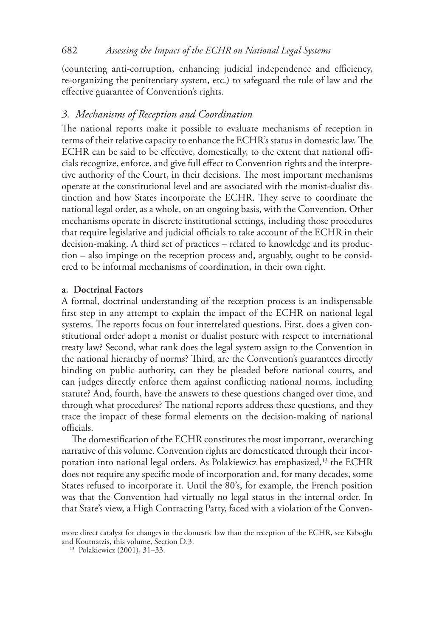(countering anti-corruption, enhancing judicial independence and efficiency, re-organizing the penitentiary system, etc.) to safeguard the rule of law and the effective guarantee of Convention's rights.

#### *3. Mechanisms of Reception and Coordination*

The national reports make it possible to evaluate mechanisms of reception in terms of their relative capacity to enhance the ECHR's status in domestic law. The ECHR can be said to be effective, domestically, to the extent that national officials recognize, enforce, and give full effect to Convention rights and the interpretive authority of the Court, in their decisions. The most important mechanisms operate at the constitutional level and are associated with the monist-dualist distinction and how States incorporate the ECHR. They serve to coordinate the national legal order, as a whole, on an ongoing basis, with the Convention. Other mechanisms operate in discrete institutional settings, including those procedures that require legislative and judicial officials to take account of the ECHR in their decision-making. A third set of practices – related to knowledge and its production – also impinge on the reception process and, arguably, ought to be considered to be informal mechanisms of coordination, in their own right.

#### **a. Doctrinal Factors**

A formal, doctrinal understanding of the reception process is an indispensable first step in any attempt to explain the impact of the ECHR on national legal systems. The reports focus on four interrelated questions. First, does a given constitutional order adopt a monist or dualist posture with respect to international treaty law? Second, what rank does the legal system assign to the Convention in the national hierarchy of norms? Third, are the Convention's guarantees directly binding on public authority, can they be pleaded before national courts, and can judges directly enforce them against conflicting national norms, including statute? And, fourth, have the answers to these questions changed over time, and through what procedures? The national reports address these questions, and they trace the impact of these formal elements on the decision-making of national officials.

The domestification of the ECHR constitutes the most important, overarching narrative of this volume. Convention rights are domesticated through their incorporation into national legal orders. As Polakiewicz has emphasized,<sup>13</sup> the ECHR does not require any specific mode of incorporation and, for many decades, some States refused to incorporate it. Until the 80's, for example, the French position was that the Convention had virtually no legal status in the internal order. In that State's view, a High Contracting Party, faced with a violation of the Conven-

more direct catalyst for changes in the domestic law than the reception of the ECHR, see Kaboğlu and Koutnatzis, this volume, Section D.3.

<sup>13</sup> Polakiewicz (2001), 31–33.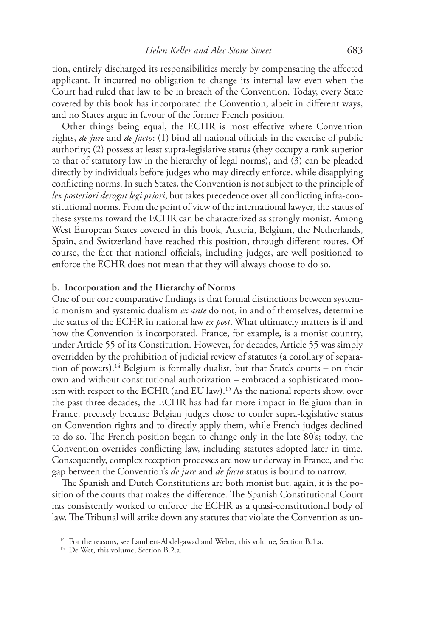tion, entirely discharged its responsibilities merely by compensating the affected applicant. It incurred no obligation to change its internal law even when the Court had ruled that law to be in breach of the Convention. Today, every State covered by this book has incorporated the Convention, albeit in different ways, and no States argue in favour of the former French position.

Other things being equal, the ECHR is most effective where Convention rights, *de jure* and *de facto*: (1) bind all national officials in the exercise of public authority; (2) possess at least supra-legislative status (they occupy a rank superior to that of statutory law in the hierarchy of legal norms), and (3) can be pleaded directly by individuals before judges who may directly enforce, while disapplying conflicting norms. In such States, the Convention is not subject to the principle of *lex posteriori derogat legi priori*, but takes precedence over all conflicting infra-constitutional norms. From the point of view of the international lawyer, the status of these systems toward the ECHR can be characterized as strongly monist. Among West European States covered in this book, Austria, Belgium, the Netherlands, Spain, and Switzerland have reached this position, through different routes. Of course, the fact that national officials, including judges, are well positioned to enforce the ECHR does not mean that they will always choose to do so.

#### **b. Incorporation and the Hierarchy of Norms**

One of our core comparative findings is that formal distinctions between systemic monism and systemic dualism *ex ante* do not, in and of themselves, determine the status of the ECHR in national law *ex post*. What ultimately matters is if and how the Convention is incorporated. France, for example, is a monist country, under Article 55 of its Constitution. However, for decades, Article 55 was simply overridden by the prohibition of judicial review of statutes (a corollary of separation of powers).<sup>14</sup> Belgium is formally dualist, but that State's courts – on their own and without constitutional authorization – embraced a sophisticated monism with respect to the ECHR (and EU law).<sup>15</sup> As the national reports show, over the past three decades, the ECHR has had far more impact in Belgium than in France, precisely because Belgian judges chose to confer supra-legislative status on Convention rights and to directly apply them, while French judges declined to do so. The French position began to change only in the late 80's; today, the Convention overrides conflicting law, including statutes adopted later in time. Consequently, complex reception processes are now underway in France, and the gap between the Convention's *de jure* and *de facto* status is bound to narrow.

The Spanish and Dutch Constitutions are both monist but, again, it is the position of the courts that makes the difference. The Spanish Constitutional Court has consistently worked to enforce the ECHR as a quasi-constitutional body of law. The Tribunal will strike down any statutes that violate the Convention as un-

<sup>&</sup>lt;sup>14</sup> For the reasons, see Lambert-Abdelgawad and Weber, this volume, Section B.1.a.

<sup>&</sup>lt;sup>15</sup> De Wet, this volume, Section B.2.a.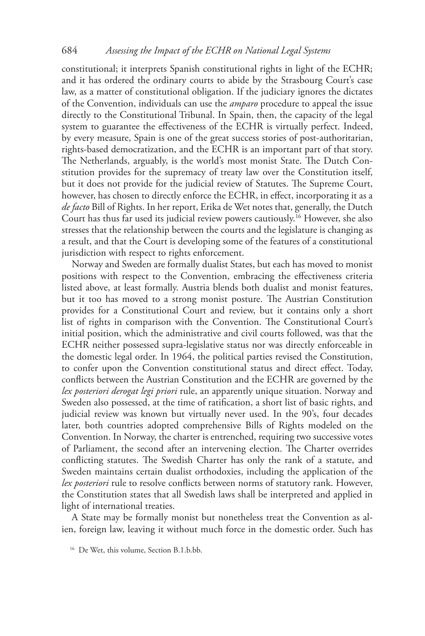constitutional; it interprets Spanish constitutional rights in light of the ECHR; and it has ordered the ordinary courts to abide by the Strasbourg Court's case law, as a matter of constitutional obligation. If the judiciary ignores the dictates of the Convention, individuals can use the *amparo* procedure to appeal the issue directly to the Constitutional Tribunal. In Spain, then, the capacity of the legal system to guarantee the effectiveness of the ECHR is virtually perfect. Indeed, by every measure, Spain is one of the great success stories of post-authoritarian, rights-based democratization, and the ECHR is an important part of that story. The Netherlands, arguably, is the world's most monist State. The Dutch Constitution provides for the supremacy of treaty law over the Constitution itself, but it does not provide for the judicial review of Statutes. The Supreme Court, however, has chosen to directly enforce the ECHR, in effect, incorporating it as a *de facto* Bill of Rights. In her report, Erika de Wet notes that, generally, the Dutch Court has thus far used its judicial review powers cautiously.16 However, she also stresses that the relationship between the courts and the legislature is changing as a result, and that the Court is developing some of the features of a constitutional jurisdiction with respect to rights enforcement.

Norway and Sweden are formally dualist States, but each has moved to monist positions with respect to the Convention, embracing the effectiveness criteria listed above, at least formally. Austria blends both dualist and monist features, but it too has moved to a strong monist posture. The Austrian Constitution provides for a Constitutional Court and review, but it contains only a short list of rights in comparison with the Convention. The Constitutional Court's initial position, which the administrative and civil courts followed, was that the ECHR neither possessed supra-legislative status nor was directly enforceable in the domestic legal order. In 1964, the political parties revised the Constitution, to confer upon the Convention constitutional status and direct effect. Today, conflicts between the Austrian Constitution and the ECHR are governed by the *lex posteriori derogat legi priori* rule, an apparently unique situation. Norway and Sweden also possessed, at the time of ratification, a short list of basic rights, and judicial review was known but virtually never used. In the 90's, four decades later, both countries adopted comprehensive Bills of Rights modeled on the Convention. In Norway, the charter is entrenched, requiring two successive votes of Parliament, the second after an intervening election. The Charter overrides conflicting statutes. The Swedish Charter has only the rank of a statute, and Sweden maintains certain dualist orthodoxies, including the application of the *lex posteriori* rule to resolve conflicts between norms of statutory rank. However, the Constitution states that all Swedish laws shall be interpreted and applied in light of international treaties.

A State may be formally monist but nonetheless treat the Convention as alien, foreign law, leaving it without much force in the domestic order. Such has

<sup>16</sup> De Wet, this volume, Section B.1.b.bb.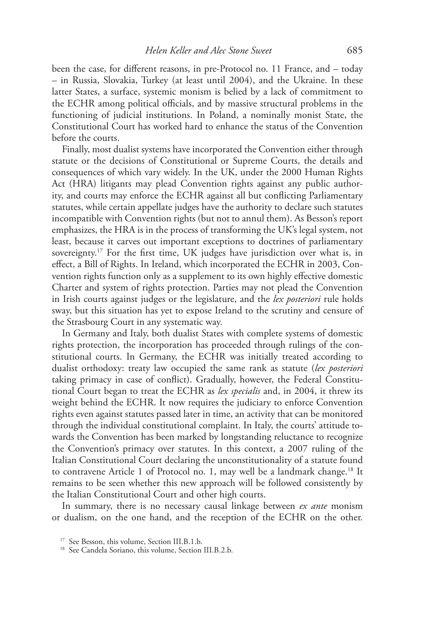been the case, for different reasons, in pre-Protocol no. 11 France, and – today – in Russia, Slovakia, Turkey (at least until 2004), and the Ukraine. In these latter States, a surface, systemic monism is belied by a lack of commitment to the ECHR among political officials, and by massive structural problems in the functioning of judicial institutions. In Poland, a nominally monist State, the Constitutional Court has worked hard to enhance the status of the Convention before the courts.

Finally, most dualist systems have incorporated the Convention either through statute or the decisions of Constitutional or Supreme Courts, the details and consequences of which vary widely. In the UK, under the 2000 Human Rights Act (HRA) litigants may plead Convention rights against any public authority, and courts may enforce the ECHR against all but conflicting Parliamentary statutes, while certain appellate judges have the authority to declare such statutes incompatible with Convention rights (but not to annul them). As Besson's report emphasizes, the HRA is in the process of transforming the UK's legal system, not least, because it carves out important exceptions to doctrines of parliamentary sovereignty.17 For the first time, UK judges have jurisdiction over what is, in effect, a Bill of Rights. In Ireland, which incorporated the ECHR in 2003, Convention rights function only as a supplement to its own highly effective domestic Charter and system of rights protection. Parties may not plead the Convention in Irish courts against judges or the legislature, and the *lex posteriori* rule holds sway, but this situation has yet to expose Ireland to the scrutiny and censure of the Strasbourg Court in any systematic way.

In Germany and Italy, both dualist States with complete systems of domestic rights protection, the incorporation has proceeded through rulings of the constitutional courts. In Germany, the ECHR was initially treated according to dualist orthodoxy: treaty law occupied the same rank as statute (*lex posteriori* taking primacy in case of conflict). Gradually, however, the Federal Constitutional Court began to treat the ECHR as *lex specialis* and, in 2004, it threw its weight behind the ECHR. It now requires the judiciary to enforce Convention rights even against statutes passed later in time, an activity that can be monitored through the individual constitutional complaint. In Italy, the courts' attitude towards the Convention has been marked by longstanding reluctance to recognize the Convention's primacy over statutes. In this context, a 2007 ruling of the Italian Constitutional Court declaring the unconstitutionality of a statute found to contravene Article 1 of Protocol no. 1, may well be a landmark change.<sup>18</sup> It remains to be seen whether this new approach will be followed consistently by the Italian Constitutional Court and other high courts.

In summary, there is no necessary causal linkage between *ex ante* monism or dualism, on the one hand, and the reception of the ECHR on the other.

<sup>&</sup>lt;sup>17</sup> See Besson, this volume, Section III.B.1.b. <sup>18</sup> See Candela Soriano, this volume, Section III.B.2.b.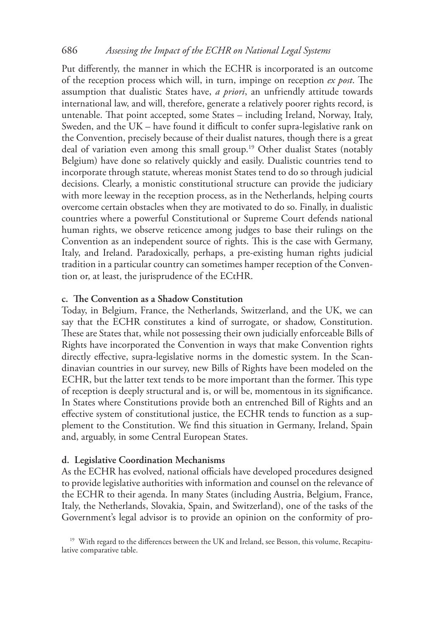Put differently, the manner in which the ECHR is incorporated is an outcome of the reception process which will, in turn, impinge on reception *ex post*. The assumption that dualistic States have, *a priori*, an unfriendly attitude towards international law, and will, therefore, generate a relatively poorer rights record, is untenable. That point accepted, some States – including Ireland, Norway, Italy, Sweden, and the UK – have found it difficult to confer supra-legislative rank on the Convention, precisely because of their dualist natures, though there is a great deal of variation even among this small group.19 Other dualist States (notably Belgium) have done so relatively quickly and easily. Dualistic countries tend to incorporate through statute, whereas monist States tend to do so through judicial decisions. Clearly, a monistic constitutional structure can provide the judiciary with more leeway in the reception process, as in the Netherlands, helping courts overcome certain obstacles when they are motivated to do so. Finally, in dualistic countries where a powerful Constitutional or Supreme Court defends national human rights, we observe reticence among judges to base their rulings on the Convention as an independent source of rights. This is the case with Germany, Italy, and Ireland. Paradoxically, perhaps, a pre-existing human rights judicial tradition in a particular country can sometimes hamper reception of the Convention or, at least, the jurisprudence of the ECtHR.

#### **c. The Convention as a Shadow Constitution**

Today, in Belgium, France, the Netherlands, Switzerland, and the UK, we can say that the ECHR constitutes a kind of surrogate, or shadow, Constitution. These are States that, while not possessing their own judicially enforceable Bills of Rights have incorporated the Convention in ways that make Convention rights directly effective, supra-legislative norms in the domestic system. In the Scandinavian countries in our survey, new Bills of Rights have been modeled on the ECHR, but the latter text tends to be more important than the former. This type of reception is deeply structural and is, or will be, momentous in its significance. In States where Constitutions provide both an entrenched Bill of Rights and an effective system of constitutional justice, the ECHR tends to function as a supplement to the Constitution. We find this situation in Germany, Ireland, Spain and, arguably, in some Central European States.

#### **d. Legislative Coordination Mechanisms**

As the ECHR has evolved, national officials have developed procedures designed to provide legislative authorities with information and counsel on the relevance of the ECHR to their agenda. In many States (including Austria, Belgium, France, Italy, the Netherlands, Slovakia, Spain, and Switzerland), one of the tasks of the Government's legal advisor is to provide an opinion on the conformity of pro-

<sup>19</sup> With regard to the differences between the UK and Ireland, see Besson, this volume, Recapitulative comparative table.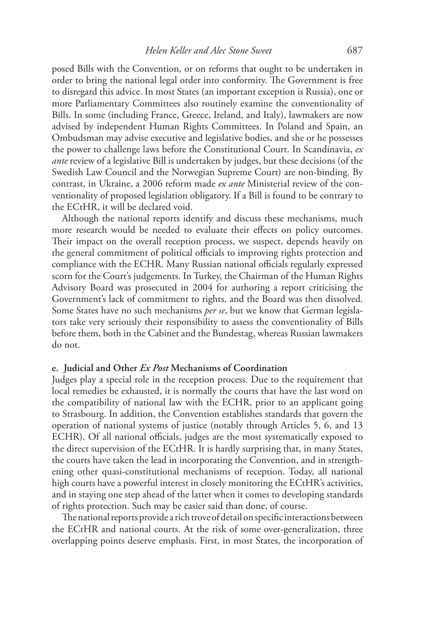posed Bills with the Convention, or on reforms that ought to be undertaken in order to bring the national legal order into conformity. The Government is free to disregard this advice. In most States (an important exception is Russia), one or more Parliamentary Committees also routinely examine the conventionality of Bills. In some (including France, Greece, Ireland, and Italy), lawmakers are now advised by independent Human Rights Committees. In Poland and Spain, an Ombudsman may advise executive and legislative bodies, and she or he possesses the power to challenge laws before the Constitutional Court. In Scandinavia, *ex ante* review of a legislative Bill is undertaken by judges, but these decisions (of the Swedish Law Council and the Norwegian Supreme Court) are non-binding. By contrast, in Ukraine, a 2006 reform made *ex ante* Ministerial review of the conventionality of proposed legislation obligatory. If a Bill is found to be contrary to the ECtHR, it will be declared void.

Although the national reports identify and discuss these mechanisms, much more research would be needed to evaluate their effects on policy outcomes. Their impact on the overall reception process, we suspect, depends heavily on the general commitment of political officials to improving rights protection and compliance with the ECHR. Many Russian national officials regularly expressed scorn for the Court's judgements. In Turkey, the Chairman of the Human Rights Advisory Board was prosecuted in 2004 for authoring a report criticising the Government's lack of commitment to rights, and the Board was then dissolved. Some States have no such mechanisms *per se*, but we know that German legislators take very seriously their responsibility to assess the conventionality of Bills before them, both in the Cabinet and the Bundestag, whereas Russian lawmakers do not.

#### **e. Judicial and Other** *Ex Post* **Mechanisms of Coordination**

Judges play a special role in the reception process. Due to the requirement that local remedies be exhausted, it is normally the courts that have the last word on the compatibility of national law with the ECHR, prior to an applicant going to Strasbourg. In addition, the Convention establishes standards that govern the operation of national systems of justice (notably through Articles 5, 6, and 13 ECHR). Of all national officials, judges are the most systematically exposed to the direct supervision of the ECtHR. It is hardly surprising that, in many States, the courts have taken the lead in incorporating the Convention, and in strengthening other quasi-constitutional mechanisms of reception. Today, all national high courts have a powerful interest in closely monitoring the ECtHR's activities, and in staying one step ahead of the latter when it comes to developing standards of rights protection. Such may be easier said than done, of course.

The national reports provide a rich trove of detail on specific interactions between the ECtHR and national courts. At the risk of some over-generalization, three overlapping points deserve emphasis. First, in most States, the incorporation of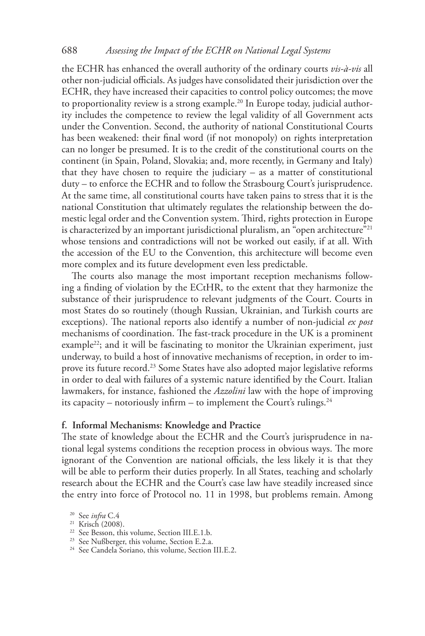the ECHR has enhanced the overall authority of the ordinary courts *vis-à-vis* all other non-judicial officials. As judges have consolidated their jurisdiction over the ECHR, they have increased their capacities to control policy outcomes; the move to proportionality review is a strong example.<sup>20</sup> In Europe today, judicial authority includes the competence to review the legal validity of all Government acts under the Convention. Second, the authority of national Constitutional Courts has been weakened: their final word (if not monopoly) on rights interpretation can no longer be presumed. It is to the credit of the constitutional courts on the continent (in Spain, Poland, Slovakia; and, more recently, in Germany and Italy) that they have chosen to require the judiciary  $-$  as a matter of constitutional duty – to enforce the ECHR and to follow the Strasbourg Court's jurisprudence. At the same time, all constitutional courts have taken pains to stress that it is the national Constitution that ultimately regulates the relationship between the domestic legal order and the Convention system. Third, rights protection in Europe is characterized by an important jurisdictional pluralism, an "open architecture"<sup>21</sup> whose tensions and contradictions will not be worked out easily, if at all. With the accession of the EU to the Convention, this architecture will become even more complex and its future development even less predictable.

The courts also manage the most important reception mechanisms following a finding of violation by the ECtHR, to the extent that they harmonize the substance of their jurisprudence to relevant judgments of the Court. Courts in most States do so routinely (though Russian, Ukrainian, and Turkish courts are exceptions). The national reports also identify a number of non-judicial *ex post*  mechanisms of coordination. The fast-track procedure in the UK is a prominent example<sup>22</sup>; and it will be fascinating to monitor the Ukrainian experiment, just underway, to build a host of innovative mechanisms of reception, in order to improve its future record.<sup>23</sup> Some States have also adopted major legislative reforms in order to deal with failures of a systemic nature identified by the Court. Italian lawmakers, for instance, fashioned the *Azzolini* law with the hope of improving its capacity – notoriously infirm – to implement the Court's rulings.<sup>24</sup>

#### **f. Informal Mechanisms: Knowledge and Practice**

The state of knowledge about the ECHR and the Court's jurisprudence in national legal systems conditions the reception process in obvious ways. The more ignorant of the Convention are national officials, the less likely it is that they will be able to perform their duties properly. In all States, teaching and scholarly research about the ECHR and the Court's case law have steadily increased since the entry into force of Protocol no. 11 in 1998, but problems remain. Among

<sup>&</sup>lt;sup>20</sup> See *infra* C.4<br><sup>21</sup> Krisch (2008).

<sup>&</sup>lt;sup>22</sup> See Besson, this volume, Section III.E.1.b.

<sup>23</sup> See Nußberger, this volume, Section E.2.a.

<sup>24</sup> See Candela Soriano, this volume, Section III.E.2.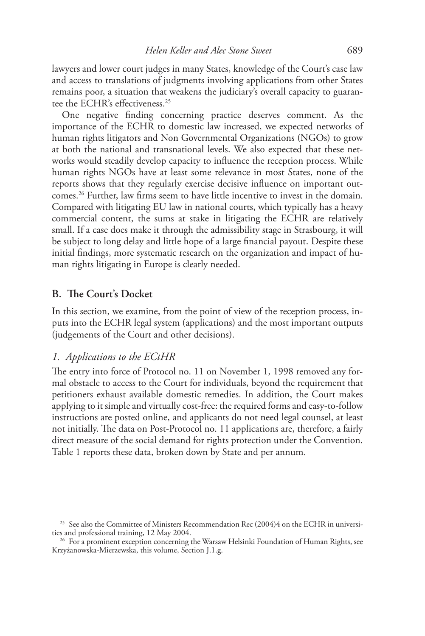lawyers and lower court judges in many States, knowledge of the Court's case law and access to translations of judgments involving applications from other States remains poor, a situation that weakens the judiciary's overall capacity to guarantee the ECHR's effectiveness.25

One negative finding concerning practice deserves comment. As the importance of the ECHR to domestic law increased, we expected networks of human rights litigators and Non Governmental Organizations (NGOs) to grow at both the national and transnational levels. We also expected that these networks would steadily develop capacity to influence the reception process. While human rights NGOs have at least some relevance in most States, none of the reports shows that they regularly exercise decisive influence on important outcomes.26 Further, law firms seem to have little incentive to invest in the domain. Compared with litigating EU law in national courts, which typically has a heavy commercial content, the sums at stake in litigating the ECHR are relatively small. If a case does make it through the admissibility stage in Strasbourg, it will be subject to long delay and little hope of a large financial payout. Despite these initial findings, more systematic research on the organization and impact of human rights litigating in Europe is clearly needed.

#### **B. The Court's Docket**

In this section, we examine, from the point of view of the reception process, inputs into the ECHR legal system (applications) and the most important outputs (judgements of the Court and other decisions).

#### *1. Applications to the ECtHR*

The entry into force of Protocol no. 11 on November 1, 1998 removed any formal obstacle to access to the Court for individuals, beyond the requirement that petitioners exhaust available domestic remedies. In addition, the Court makes applying to it simple and virtually cost-free: the required forms and easy-to-follow instructions are posted online, and applicants do not need legal counsel, at least not initially. The data on Post-Protocol no. 11 applications are, therefore, a fairly direct measure of the social demand for rights protection under the Convention. Table 1 reports these data, broken down by State and per annum.

<sup>&</sup>lt;sup>25</sup> See also the Committee of Ministers Recommendation Rec (2004)4 on the ECHR in universities and professional training, 12 May 2004.

<sup>&</sup>lt;sup>26</sup> For a prominent exception concerning the Warsaw Helsinki Foundation of Human Rights, see Krzyżanowska-Mierzewska, this volume, Section J.1.g.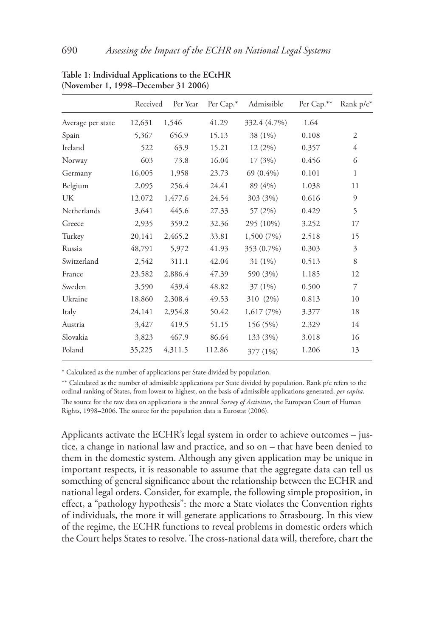|                   | Received | Per Year | Per Cap.* | Admissible   | Per Cap.** | Rank $p/c^*$   |
|-------------------|----------|----------|-----------|--------------|------------|----------------|
| Average per state | 12,631   | 1,546    | 41.29     | 332.4 (4.7%) | 1.64       |                |
| Spain             | 5,367    | 656.9    | 15.13     | 38 (1%)      | 0.108      | $\overline{2}$ |
| Ireland           | 522      | 63.9     | 15.21     | 12(2%)       | 0.357      | 4              |
| Norway            | 603      | 73.8     | 16.04     | 17(3%)       | 0.456      | 6              |
| Germany           | 16,005   | 1,958    | 23.73     | $69(0.4\%)$  | 0.101      | 1              |
| Belgium           | 2,095    | 256.4    | 24.41     | 89 (4%)      | 1.038      | 11             |
| UK                | 12.072   | 1,477.6  | 24.54     | 303 (3%)     | 0.616      | 9              |
| Netherlands       | 3,641    | 445.6    | 27.33     | 57 (2%)      | 0.429      | 5              |
| Greece            | 2,935    | 359.2    | 32.36     | 295 (10%)    | 3.252      | 17             |
| Turkey            | 20,141   | 2,465.2  | 33.81     | 1,500 (7%)   | 2.518      | 15             |
| Russia            | 48,791   | 5,972    | 41.93     | 353 (0.7%)   | 0.303      | 3              |
| Switzerland       | 2,542    | 311.1    | 42.04     | $31(1\%)$    | 0.513      | 8              |
| France            | 23,582   | 2,886.4  | 47.39     | 590 (3%)     | 1.185      | 12             |
| Sweden            | 3,590    | 439.4    | 48.82     | 37 (1%)      | 0.500      | 7              |
| Ukraine           | 18,860   | 2,308.4  | 49.53     | 310 (2%)     | 0.813      | 10             |
| Italy             | 24,141   | 2,954.8  | 50.42     | 1,617 (7%)   | 3.377      | 18             |
| Austria           | 3,427    | 419.5    | 51.15     | 156 (5%)     | 2.329      | 14             |
| Slovakia          | 3,823    | 467.9    | 86.64     | 133 (3%)     | 3.018      | 16             |
| Poland            | 35,225   | 4,311.5  | 112.86    | 377 (1%)     | 1.206      | 13             |

**Table 1: Individual Applications to the ECtHR (November 1, 1998**–**December 31 2006)**

\* Calculated as the number of applications per State divided by population.

\*\* Calculated as the number of admissible applications per State divided by population. Rank p/c refers to the ordinal ranking of States, from lowest to highest, on the basis of admissible applications generated, *per capita*. The source for the raw data on applications is the annual *Survey of Activities*, the European Court of Human Rights, 1998–2006. The source for the population data is Eurostat (2006).

Applicants activate the ECHR's legal system in order to achieve outcomes – justice, a change in national law and practice, and so on – that have been denied to them in the domestic system. Although any given application may be unique in important respects, it is reasonable to assume that the aggregate data can tell us something of general significance about the relationship between the ECHR and national legal orders. Consider, for example, the following simple proposition, in effect, a "pathology hypothesis": the more a State violates the Convention rights of individuals, the more it will generate applications to Strasbourg. In this view of the regime, the ECHR functions to reveal problems in domestic orders which the Court helps States to resolve. The cross-national data will, therefore, chart the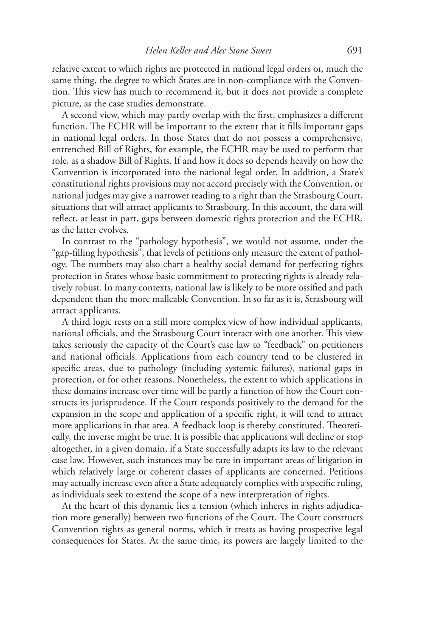relative extent to which rights are protected in national legal orders or, much the same thing, the degree to which States are in non-compliance with the Convention. This view has much to recommend it, but it does not provide a complete picture, as the case studies demonstrate.

A second view, which may partly overlap with the first, emphasizes a different function. The ECHR will be important to the extent that it fills important gaps in national legal orders. In those States that do not possess a comprehensive, entrenched Bill of Rights, for example, the ECHR may be used to perform that role, as a shadow Bill of Rights. If and how it does so depends heavily on how the Convention is incorporated into the national legal order. In addition, a State's constitutional rights provisions may not accord precisely with the Convention, or national judges may give a narrower reading to a right than the Strasbourg Court, situations that will attract applicants to Strasbourg. In this account, the data will reflect, at least in part, gaps between domestic rights protection and the ECHR, as the latter evolves.

In contrast to the "pathology hypothesis", we would not assume, under the "gap-filling hypothesis", that levels of petitions only measure the extent of pathology. The numbers may also chart a healthy social demand for perfecting rights protection in States whose basic commitment to protecting rights is already relatively robust. In many contexts, national law is likely to be more ossified and path dependent than the more malleable Convention. In so far as it is, Strasbourg will attract applicants.

A third logic rests on a still more complex view of how individual applicants, national officials, and the Strasbourg Court interact with one another. This view takes seriously the capacity of the Court's case law to "feedback" on petitioners and national officials. Applications from each country tend to be clustered in specific areas, due to pathology (including systemic failures), national gaps in protection, or for other reasons. Nonetheless, the extent to which applications in these domains increase over time will be partly a function of how the Court constructs its jurisprudence. If the Court responds positively to the demand for the expansion in the scope and application of a specific right, it will tend to attract more applications in that area. A feedback loop is thereby constituted. Theoretically, the inverse might be true. It is possible that applications will decline or stop altogether, in a given domain, if a State successfully adapts its law to the relevant case law. However, such instances may be rare in important areas of litigation in which relatively large or coherent classes of applicants are concerned. Petitions may actually increase even after a State adequately complies with a specific ruling, as individuals seek to extend the scope of a new interpretation of rights.

At the heart of this dynamic lies a tension (which inheres in rights adjudication more generally) between two functions of the Court. The Court constructs Convention rights as general norms, which it treats as having prospective legal consequences for States. At the same time, its powers are largely limited to the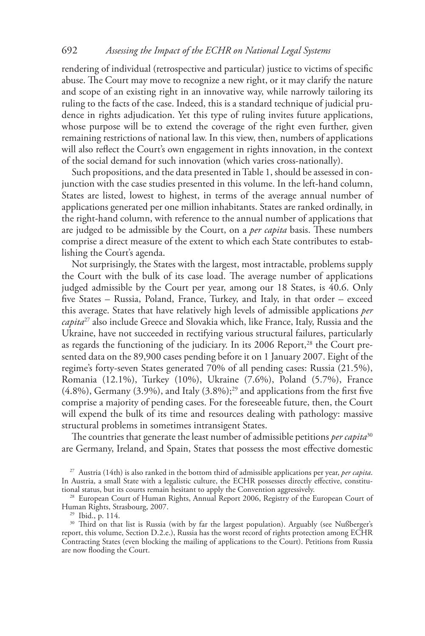rendering of individual (retrospective and particular) justice to victims of specific abuse. The Court may move to recognize a new right, or it may clarify the nature and scope of an existing right in an innovative way, while narrowly tailoring its ruling to the facts of the case. Indeed, this is a standard technique of judicial prudence in rights adjudication. Yet this type of ruling invites future applications, whose purpose will be to extend the coverage of the right even further, given remaining restrictions of national law. In this view, then, numbers of applications will also reflect the Court's own engagement in rights innovation, in the context of the social demand for such innovation (which varies cross-nationally).

Such propositions, and the data presented in Table 1, should be assessed in conjunction with the case studies presented in this volume. In the left-hand column, States are listed, lowest to highest, in terms of the average annual number of applications generated per one million inhabitants. States are ranked ordinally, in the right-hand column, with reference to the annual number of applications that are judged to be admissible by the Court, on a *per capita* basis. These numbers comprise a direct measure of the extent to which each State contributes to establishing the Court's agenda.

Not surprisingly, the States with the largest, most intractable, problems supply the Court with the bulk of its case load. The average number of applications judged admissible by the Court per year, among our 18 States, is 40.6. Only five States – Russia, Poland, France, Turkey, and Italy, in that order – exceed this average. States that have relatively high levels of admissible applications *per capita*27 also include Greece and Slovakia which, like France, Italy, Russia and the Ukraine, have not succeeded in rectifying various structural failures, particularly as regards the functioning of the judiciary. In its 2006 Report,<sup>28</sup> the Court presented data on the 89,900 cases pending before it on 1 January 2007. Eight of the regime's forty-seven States generated 70% of all pending cases: Russia (21.5%), Romania (12.1%), Turkey (10%), Ukraine (7.6%), Poland (5.7%), France  $(4.8\%)$ , Germany  $(3.9\%)$ , and Italy  $(3.8\%)$ ;<sup>29</sup> and applications from the first five comprise a majority of pending cases. For the foreseeable future, then, the Court will expend the bulk of its time and resources dealing with pathology: massive structural problems in sometimes intransigent States.

The countries that generate the least number of admissible petitions *per capita*<sup>30</sup> are Germany, Ireland, and Spain, States that possess the most effective domestic

<sup>27</sup> Austria (14th) is also ranked in the bottom third of admissible applications per year, *per capita*. In Austria, a small State with a legalistic culture, the ECHR possesses directly effective, constitutional status, but its courts remain hesitant to apply the Convention aggressively.

<sup>&</sup>lt;sup>28</sup> European Court of Human Rights, Annual Report 2006, Registry of the European Court of Human Rights, Strasbourg, 2007. 29 Ibid., p. 114.

<sup>&</sup>lt;sup>30</sup> Third on that list is Russia (with by far the largest population). Arguably (see Nußberger's report, this volume, Section D.2.e.), Russia has the worst record of rights protection among ECHR Contracting States (even blocking the mailing of applications to the Court). Petitions from Russia are now flooding the Court.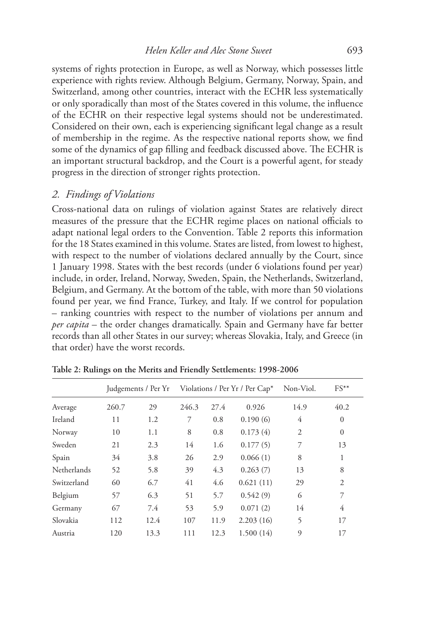systems of rights protection in Europe, as well as Norway, which possesses little experience with rights review. Although Belgium, Germany, Norway, Spain, and Switzerland, among other countries, interact with the ECHR less systematically or only sporadically than most of the States covered in this volume, the influence of the ECHR on their respective legal systems should not be underestimated. Considered on their own, each is experiencing significant legal change as a result of membership in the regime. As the respective national reports show, we find some of the dynamics of gap filling and feedback discussed above. The ECHR is an important structural backdrop, and the Court is a powerful agent, for steady progress in the direction of stronger rights protection.

## *2. Findings of Violations*

Cross-national data on rulings of violation against States are relatively direct measures of the pressure that the ECHR regime places on national officials to adapt national legal orders to the Convention. Table 2 reports this information for the 18 States examined in this volume. States are listed, from lowest to highest, with respect to the number of violations declared annually by the Court, since 1 January 1998. States with the best records (under 6 violations found per year) include, in order, Ireland, Norway, Sweden, Spain, the Netherlands, Switzerland, Belgium, and Germany. At the bottom of the table, with more than 50 violations found per year, we find France, Turkey, and Italy. If we control for population – ranking countries with respect to the number of violations per annum and *per capita* – the order changes dramatically. Spain and Germany have far better records than all other States in our survey; whereas Slovakia, Italy, and Greece (in that order) have the worst records.

|             |       | Judgements / Per Yr |       |      | Violations / Per Yr / Per Cap* | Non-Viol.      | $FS**$         |
|-------------|-------|---------------------|-------|------|--------------------------------|----------------|----------------|
| Average     | 260.7 | 29                  | 246.3 | 27.4 | 0.926                          | 14.9           | 40.2           |
| Ireland     | 11    | 1.2                 | 7     | 0.8  | 0.190(6)                       | 4              | $\mathbf{0}$   |
| Norway      | 10    | 1.1                 | 8     | 0.8  | 0.173(4)                       | $\overline{2}$ | $\mathbf{0}$   |
| Sweden      | 21    | 2.3                 | 14    | 1.6  | 0.177(5)                       | 7              | 13             |
| Spain       | 34    | 3.8                 | 26    | 2.9  | 0.066(1)                       | 8              | 1              |
| Netherlands | 52    | 5.8                 | 39    | 4.3  | 0.263(7)                       | 13             | 8              |
| Switzerland | 60    | 6.7                 | 41    | 4.6  | 0.621(11)                      | 29             | $\overline{2}$ |
| Belgium     | 57    | 6.3                 | 51    | 5.7  | 0.542(9)                       | 6              | 7              |
| Germany     | 67    | 7.4                 | 53    | 5.9  | 0.071(2)                       | 14             | 4              |
| Slovakia    | 112   | 12.4                | 107   | 11.9 | 2.203(16)                      | 5              | 17             |
| Austria     | 120   | 13.3                | 111   | 12.3 | 1.500(14)                      | 9              | 17             |

**Table 2: Rulings on the Merits and Friendly Settlements: 1998-2006**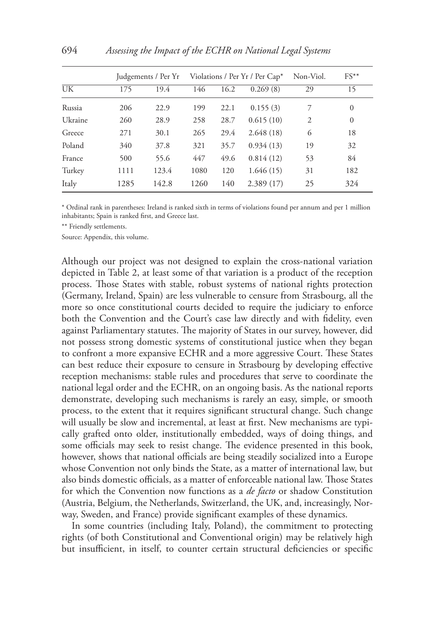|         |      | Judgements / Per Yr |      |      | Violations / Per Yr / Per Cap* | Non-Viol. | $FS**$         |
|---------|------|---------------------|------|------|--------------------------------|-----------|----------------|
| UK      | 175  | 19.4                | 146  | 16.2 | 0.269(8)                       | 29        | 15             |
| Russia  | 206  | 22.9                | 199  | 22.1 | 0.155(3)                       | 7         | $\mathbf{0}$   |
| Ukraine | 260  | 28.9                | 258  | 28.7 | 0.615(10)                      | 2         | $\overline{0}$ |
| Greece  | 271  | 30.1                | 265  | 29.4 | 2.648(18)                      | 6         | 18             |
| Poland  | 340  | 37.8                | 321  | 35.7 | 0.934(13)                      | 19        | 32             |
| France  | 500  | 55.6                | 447  | 49.6 | 0.814(12)                      | 53        | 84             |
| Turkey  | 1111 | 123.4               | 1080 | 120  | 1.646(15)                      | 31        | 182            |
| Italy   | 1285 | 142.8               | 1260 | 140  | 2.389(17)                      | 25        | 324            |

\* Ordinal rank in parentheses: Ireland is ranked sixth in terms of violations found per annum and per 1 million inhabitants; Spain is ranked first, and Greece last.

\*\* Friendly settlements.

Source: Appendix, this volume.

Although our project was not designed to explain the cross-national variation depicted in Table 2, at least some of that variation is a product of the reception process. Those States with stable, robust systems of national rights protection (Germany, Ireland, Spain) are less vulnerable to censure from Strasbourg, all the more so once constitutional courts decided to require the judiciary to enforce both the Convention and the Court's case law directly and with fidelity, even against Parliamentary statutes. The majority of States in our survey, however, did not possess strong domestic systems of constitutional justice when they began to confront a more expansive ECHR and a more aggressive Court. These States can best reduce their exposure to censure in Strasbourg by developing effective reception mechanisms: stable rules and procedures that serve to coordinate the national legal order and the ECHR, on an ongoing basis. As the national reports demonstrate, developing such mechanisms is rarely an easy, simple, or smooth process, to the extent that it requires significant structural change. Such change will usually be slow and incremental, at least at first. New mechanisms are typically grafted onto older, institutionally embedded, ways of doing things, and some officials may seek to resist change. The evidence presented in this book, however, shows that national officials are being steadily socialized into a Europe whose Convention not only binds the State, as a matter of international law, but also binds domestic officials, as a matter of enforceable national law. Those States for which the Convention now functions as a *de facto* or shadow Constitution (Austria, Belgium, the Netherlands, Switzerland, the UK, and, increasingly, Norway, Sweden, and France) provide significant examples of these dynamics.

In some countries (including Italy, Poland), the commitment to protecting rights (of both Constitutional and Conventional origin) may be relatively high but insufficient, in itself, to counter certain structural deficiencies or specific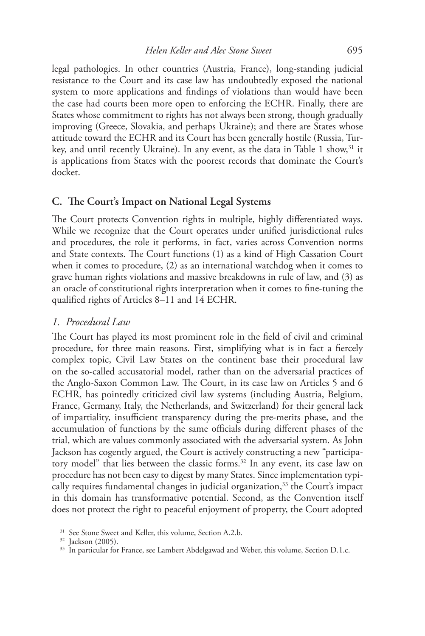legal pathologies. In other countries (Austria, France), long-standing judicial resistance to the Court and its case law has undoubtedly exposed the national system to more applications and findings of violations than would have been the case had courts been more open to enforcing the ECHR. Finally, there are States whose commitment to rights has not always been strong, though gradually improving (Greece, Slovakia, and perhaps Ukraine); and there are States whose attitude toward the ECHR and its Court has been generally hostile (Russia, Turkey, and until recently Ukraine). In any event, as the data in Table 1 show,<sup>31</sup> it is applications from States with the poorest records that dominate the Court's docket.

#### **C. The Court's Impact on National Legal Systems**

The Court protects Convention rights in multiple, highly differentiated ways. While we recognize that the Court operates under unified jurisdictional rules and procedures, the role it performs, in fact, varies across Convention norms and State contexts. The Court functions (1) as a kind of High Cassation Court when it comes to procedure, (2) as an international watchdog when it comes to grave human rights violations and massive breakdowns in rule of law, and (3) as an oracle of constitutional rights interpretation when it comes to fine-tuning the qualified rights of Articles 8–11 and 14 ECHR.

#### *1. Procedural Law*

The Court has played its most prominent role in the field of civil and criminal procedure, for three main reasons. First, simplifying what is in fact a fiercely complex topic, Civil Law States on the continent base their procedural law on the so-called accusatorial model, rather than on the adversarial practices of the Anglo-Saxon Common Law. The Court, in its case law on Articles 5 and 6 ECHR, has pointedly criticized civil law systems (including Austria, Belgium, France, Germany, Italy, the Netherlands, and Switzerland) for their general lack of impartiality, insufficient transparency during the pre-merits phase, and the accumulation of functions by the same officials during different phases of the trial, which are values commonly associated with the adversarial system. As John Jackson has cogently argued, the Court is actively constructing a new "participatory model" that lies between the classic forms.<sup>32</sup> In any event, its case law on procedure has not been easy to digest by many States. Since implementation typically requires fundamental changes in judicial organization,<sup>33</sup> the Court's impact in this domain has transformative potential. Second, as the Convention itself does not protect the right to peaceful enjoyment of property, the Court adopted

<sup>&</sup>lt;sup>31</sup> See Stone Sweet and Keller, this volume, Section A.2.b.

<sup>32</sup> Jackson (2005).

<sup>&</sup>lt;sup>33</sup> In particular for France, see Lambert Abdelgawad and Weber, this volume, Section D.1.c.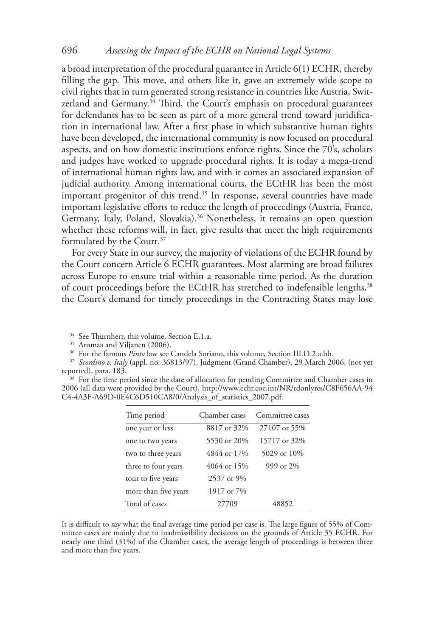a broad interpretation of the procedural guarantee in Article 6(1) ECHR, thereby filling the gap. This move, and others like it, gave an extremely wide scope to civil rights that in turn generated strong resistance in countries like Austria, Switzerland and Germany.<sup>34</sup> Third, the Court's emphasis on procedural guarantees for defendants has to be seen as part of a more general trend toward juridification in international law. After a first phase in which substantive human rights have been developed, the international community is now focused on procedural aspects, and on how domestic institutions enforce rights. Since the 70's, scholars and judges have worked to upgrade procedural rights. It is today a mega-trend of international human rights law, and with it comes an associated expansion of judicial authority. Among international courts, the ECtHR has been the most important progenitor of this trend.<sup>35</sup> In response, several countries have made important legislative efforts to reduce the length of proceedings (Austria, France, Germany, Italy, Poland, Slovakia).<sup>36</sup> Nonetheless, it remains an open question whether these reforms will, in fact, give results that meet the high requirements formulated by the Court.37

For every State in our survey, the majority of violations of the ECHR found by the Court concern Article 6 ECHR guarantees. Most alarming are broad failures across Europe to ensure trial within a reasonable time period. As the duration of court proceedings before the ECtHR has stretched to indefensible lengths,<sup>38</sup> the Court's demand for timely proceedings in the Contracting States may lose

- <sup>34</sup> See Thurnherr, this volume, Section E.1.a.
- <sup>35</sup> Aromaa and Viljanen (2006).
- <sup>36</sup> For the famous *Pinto* law see Candela Soriano, this volume, Section III.D.2.a.bb.

<sup>37</sup> *Scordino v. Italy* (appl. no. 36813/97), Judgment (Grand Chamber), 29 March 2006, (not yet reported), para. 183.

<sup>38</sup> For the time period since the date of allocation for pending Committee and Chamber cases in 2006 (all data were provided by the Court), http://www.echr.coe.int/NR/rdonlyres/C8F656AA-94 C4-4A3F-A69D-0E4C6D510CA8/0/Analysis\_of\_statistics\_2007.pdf.

| Time period          | Chamber cases | Committee cases |  |  |
|----------------------|---------------|-----------------|--|--|
| one year or less     | 8817 or 32%   | 27107 or 55%    |  |  |
| one to two years     | 5530 or 20%   | 15717 or 32%    |  |  |
| two to three years   | 4844 or 17%   | 5029 or 10%     |  |  |
| three to four years  | 4064 or 15%   | 999 or 2%       |  |  |
| tour to five years   | 2537 or 9%    |                 |  |  |
| more than five years | 1917 or 7%    |                 |  |  |
| Total of cases       | 27709         | 48852           |  |  |

It is difficult to say what the final average time period per case is. The large figure of 55% of Committee cases are mainly due to inadmissibility decisions on the grounds of Article 35 ECHR. For nearly one third (31%) of the Chamber cases, the average length of proceedings is between three and more than five years.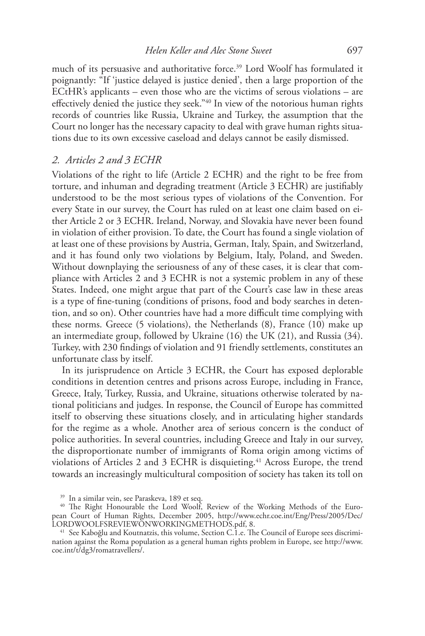much of its persuasive and authoritative force.<sup>39</sup> Lord Woolf has formulated it poignantly: "If 'justice delayed is justice denied', then a large proportion of the ECtHR's applicants – even those who are the victims of serous violations – are effectively denied the justice they seek."40 In view of the notorious human rights records of countries like Russia, Ukraine and Turkey, the assumption that the Court no longer has the necessary capacity to deal with grave human rights situations due to its own excessive caseload and delays cannot be easily dismissed.

## *2. Articles 2 and 3 ECHR*

Violations of the right to life (Article 2 ECHR) and the right to be free from torture, and inhuman and degrading treatment (Article 3 ECHR) are justifiably understood to be the most serious types of violations of the Convention. For every State in our survey, the Court has ruled on at least one claim based on either Article 2 or 3 ECHR. Ireland, Norway, and Slovakia have never been found in violation of either provision. To date, the Court has found a single violation of at least one of these provisions by Austria, German, Italy, Spain, and Switzerland, and it has found only two violations by Belgium, Italy, Poland, and Sweden. Without downplaying the seriousness of any of these cases, it is clear that compliance with Articles 2 and 3 ECHR is not a systemic problem in any of these States. Indeed, one might argue that part of the Court's case law in these areas is a type of fine-tuning (conditions of prisons, food and body searches in detention, and so on). Other countries have had a more difficult time complying with these norms. Greece (5 violations), the Netherlands (8), France (10) make up an intermediate group, followed by Ukraine (16) the UK (21), and Russia (34). Turkey, with 230 findings of violation and 91 friendly settlements, constitutes an unfortunate class by itself.

In its jurisprudence on Article 3 ECHR, the Court has exposed deplorable conditions in detention centres and prisons across Europe, including in France, Greece, Italy, Turkey, Russia, and Ukraine, situations otherwise tolerated by national politicians and judges. In response, the Council of Europe has committed itself to observing these situations closely, and in articulating higher standards for the regime as a whole. Another area of serious concern is the conduct of police authorities. In several countries, including Greece and Italy in our survey, the disproportionate number of immigrants of Roma origin among victims of violations of Articles 2 and 3 ECHR is disquieting.<sup>41</sup> Across Europe, the trend towards an increasingly multicultural composition of society has taken its toll on

<sup>39</sup> In a similar vein, see Paraskeva, 189 et seq.

<sup>&</sup>lt;sup>40</sup> The Right Honourable the Lord Woolf, Review of the Working Methods of the European Court of Human Rights, December 2005, http://www.echr.coe.int/Eng/Press/2005/Dec/ LORDWOOLFSREVIEWONWORKINGMETHODS.pdf, 8.

<sup>&</sup>lt;sup>41</sup> See Kaboğlu and Koutnatzis, this volume, Section C.1.e. The Council of Europe sees discrimination against the Roma population as a general human rights problem in Europe, see http://www. coe.int/t/dg3/romatravellers/.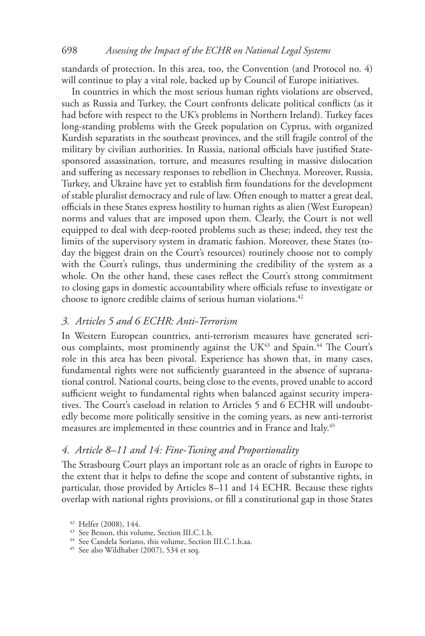standards of protection. In this area, too, the Convention (and Protocol no. 4) will continue to play a vital role, backed up by Council of Europe initiatives.

In countries in which the most serious human rights violations are observed, such as Russia and Turkey, the Court confronts delicate political conflicts (as it had before with respect to the UK's problems in Northern Ireland). Turkey faces long-standing problems with the Greek population on Cyprus, with organized Kurdish separatists in the southeast provinces, and the still fragile control of the military by civilian authorities. In Russia, national officials have justified Statesponsored assassination, torture, and measures resulting in massive dislocation and suffering as necessary responses to rebellion in Chechnya. Moreover, Russia, Turkey, and Ukraine have yet to establish firm foundations for the development of stable pluralist democracy and rule of law. Often enough to matter a great deal, officials in these States express hostility to human rights as alien (West European) norms and values that are imposed upon them. Clearly, the Court is not well equipped to deal with deep-rooted problems such as these; indeed, they test the limits of the supervisory system in dramatic fashion. Moreover, these States (today the biggest drain on the Court's resources) routinely choose not to comply with the Court's rulings, thus undermining the credibility of the system as a whole. On the other hand, these cases reflect the Court's strong commitment to closing gaps in domestic accountability where officials refuse to investigate or choose to ignore credible claims of serious human violations.42

## *3. Articles 5 and 6 ECHR: Anti-Terrorism*

In Western European countries, anti-terrorism measures have generated serious complaints, most prominently against the UK<sup>43</sup> and Spain.<sup>44</sup> The Court's role in this area has been pivotal. Experience has shown that, in many cases, fundamental rights were not sufficiently guaranteed in the absence of supranational control. National courts, being close to the events, proved unable to accord sufficient weight to fundamental rights when balanced against security imperatives. The Court's caseload in relation to Articles 5 and 6 ECHR will undoubtedly become more politically sensitive in the coming years, as new anti-terrorist measures are implemented in these countries and in France and Italy.45

## *4. Article 8–11 and 14: Fine-Tuning and Proportionality*

The Strasbourg Court plays an important role as an oracle of rights in Europe to the extent that it helps to define the scope and content of substantive rights, in particular, those provided by Articles 8–11 and 14 ECHR. Because these rights overlap with national rights provisions, or fill a constitutional gap in those States

<sup>42</sup> Helfer (2008), 144.

<sup>43</sup> See Besson, this volume, Section III.C.1.b.

<sup>44</sup> See Candela Soriano, this volume, Section III.C.1.b.aa.

<sup>45</sup> See also Wildhaber (2007), 534 et seq.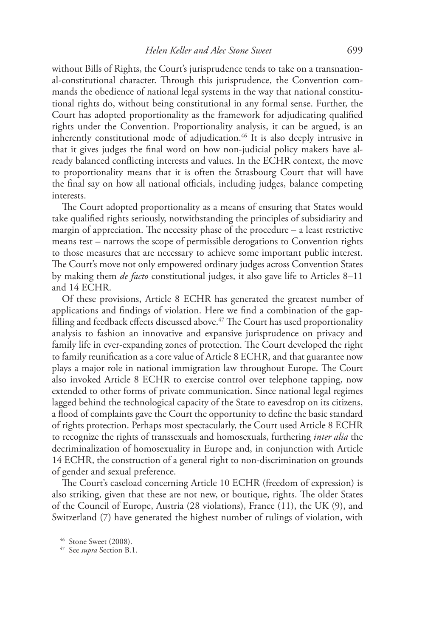without Bills of Rights, the Court's jurisprudence tends to take on a transnational-constitutional character. Through this jurisprudence, the Convention commands the obedience of national legal systems in the way that national constitutional rights do, without being constitutional in any formal sense. Further, the Court has adopted proportionality as the framework for adjudicating qualified rights under the Convention. Proportionality analysis, it can be argued, is an inherently constitutional mode of adjudication.<sup>46</sup> It is also deeply intrusive in that it gives judges the final word on how non-judicial policy makers have already balanced conflicting interests and values. In the ECHR context, the move to proportionality means that it is often the Strasbourg Court that will have the final say on how all national officials, including judges, balance competing interests.

The Court adopted proportionality as a means of ensuring that States would take qualified rights seriously, notwithstanding the principles of subsidiarity and margin of appreciation. The necessity phase of the procedure – a least restrictive means test – narrows the scope of permissible derogations to Convention rights to those measures that are necessary to achieve some important public interest. The Court's move not only empowered ordinary judges across Convention States by making them *de facto* constitutional judges, it also gave life to Articles 8–11 and 14 ECHR.

Of these provisions, Article 8 ECHR has generated the greatest number of applications and findings of violation. Here we find a combination of the gapfilling and feedback effects discussed above.<sup>47</sup> The Court has used proportionality analysis to fashion an innovative and expansive jurisprudence on privacy and family life in ever-expanding zones of protection. The Court developed the right to family reunification as a core value of Article 8 ECHR, and that guarantee now plays a major role in national immigration law throughout Europe. The Court also invoked Article 8 ECHR to exercise control over telephone tapping, now extended to other forms of private communication. Since national legal regimes lagged behind the technological capacity of the State to eavesdrop on its citizens, a flood of complaints gave the Court the opportunity to define the basic standard of rights protection. Perhaps most spectacularly, the Court used Article 8 ECHR to recognize the rights of transsexuals and homosexuals, furthering *inter alia* the decriminalization of homosexuality in Europe and, in conjunction with Article 14 ECHR, the construction of a general right to non-discrimination on grounds of gender and sexual preference.

The Court's caseload concerning Article 10 ECHR (freedom of expression) is also striking, given that these are not new, or boutique, rights. The older States of the Council of Europe, Austria (28 violations), France (11), the UK (9), and Switzerland (7) have generated the highest number of rulings of violation, with

<sup>46</sup> Stone Sweet (2008).

<sup>47</sup> See *supra* Section B.1.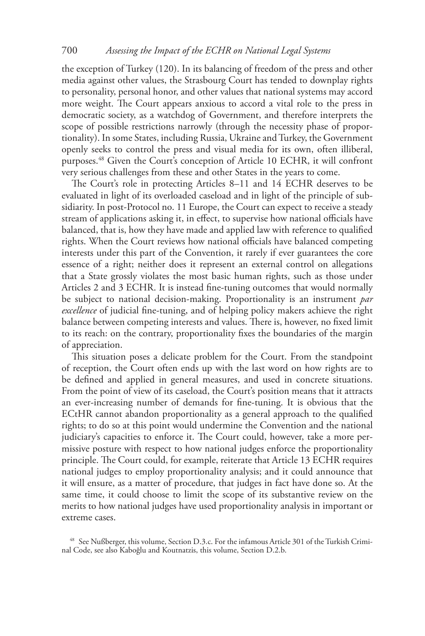the exception of Turkey (120). In its balancing of freedom of the press and other media against other values, the Strasbourg Court has tended to downplay rights to personality, personal honor, and other values that national systems may accord more weight. The Court appears anxious to accord a vital role to the press in democratic society, as a watchdog of Government, and therefore interprets the scope of possible restrictions narrowly (through the necessity phase of proportionality). In some States, including Russia, Ukraine and Turkey, the Government openly seeks to control the press and visual media for its own, often illiberal, purposes.<sup>48</sup> Given the Court's conception of Article 10 ECHR, it will confront very serious challenges from these and other States in the years to come.

The Court's role in protecting Articles 8–11 and 14 ECHR deserves to be evaluated in light of its overloaded caseload and in light of the principle of subsidiarity. In post-Protocol no. 11 Europe, the Court can expect to receive a steady stream of applications asking it, in effect, to supervise how national officials have balanced, that is, how they have made and applied law with reference to qualified rights. When the Court reviews how national officials have balanced competing interests under this part of the Convention, it rarely if ever guarantees the core essence of a right; neither does it represent an external control on allegations that a State grossly violates the most basic human rights, such as those under Articles 2 and 3 ECHR. It is instead fine-tuning outcomes that would normally be subject to national decision-making. Proportionality is an instrument *par excellence* of judicial fine-tuning, and of helping policy makers achieve the right balance between competing interests and values. There is, however, no fixed limit to its reach: on the contrary, proportionality fixes the boundaries of the margin of appreciation.

This situation poses a delicate problem for the Court. From the standpoint of reception, the Court often ends up with the last word on how rights are to be defined and applied in general measures, and used in concrete situations. From the point of view of its caseload, the Court's position means that it attracts an ever-increasing number of demands for fine-tuning. It is obvious that the ECtHR cannot abandon proportionality as a general approach to the qualified rights; to do so at this point would undermine the Convention and the national judiciary's capacities to enforce it. The Court could, however, take a more permissive posture with respect to how national judges enforce the proportionality principle. The Court could, for example, reiterate that Article 13 ECHR requires national judges to employ proportionality analysis; and it could announce that it will ensure, as a matter of procedure, that judges in fact have done so. At the same time, it could choose to limit the scope of its substantive review on the merits to how national judges have used proportionality analysis in important or extreme cases.

<sup>48</sup> See Nußberger, this volume, Section D.3.c. For the infamous Article 301 of the Turkish Criminal Code, see also Kaboğlu and Koutnatzis, this volume, Section D.2.b.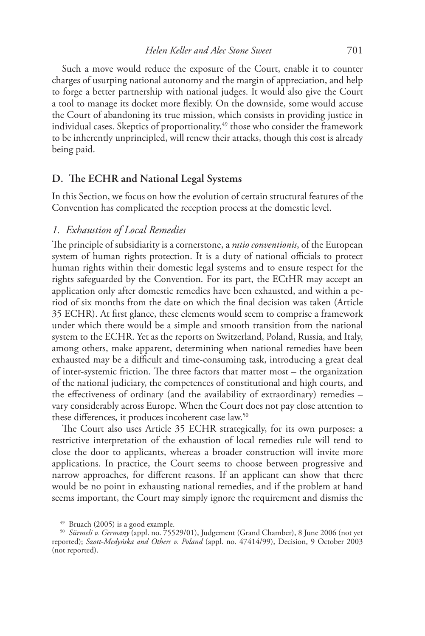Such a move would reduce the exposure of the Court, enable it to counter charges of usurping national autonomy and the margin of appreciation, and help to forge a better partnership with national judges. It would also give the Court a tool to manage its docket more flexibly. On the downside, some would accuse the Court of abandoning its true mission, which consists in providing justice in individual cases. Skeptics of proportionality,<sup>49</sup> those who consider the framework to be inherently unprincipled, will renew their attacks, though this cost is already being paid.

#### **D. The ECHR and National Legal Systems**

In this Section, we focus on how the evolution of certain structural features of the Convention has complicated the reception process at the domestic level.

## *1. Exhaustion of Local Remedies*

The principle of subsidiarity is a cornerstone, a *ratio conventionis*, of the European system of human rights protection. It is a duty of national officials to protect human rights within their domestic legal systems and to ensure respect for the rights safeguarded by the Convention. For its part, the ECtHR may accept an application only after domestic remedies have been exhausted, and within a period of six months from the date on which the final decision was taken (Article 35 ECHR). At first glance, these elements would seem to comprise a framework under which there would be a simple and smooth transition from the national system to the ECHR. Yet as the reports on Switzerland, Poland, Russia, and Italy, among others, make apparent, determining when national remedies have been exhausted may be a difficult and time-consuming task, introducing a great deal of inter-systemic friction. The three factors that matter most – the organization of the national judiciary, the competences of constitutional and high courts, and the effectiveness of ordinary (and the availability of extraordinary) remedies – vary considerably across Europe. When the Court does not pay close attention to these differences, it produces incoherent case law.<sup>50</sup>

The Court also uses Article 35 ECHR strategically, for its own purposes: a restrictive interpretation of the exhaustion of local remedies rule will tend to close the door to applicants, whereas a broader construction will invite more applications. In practice, the Court seems to choose between progressive and narrow approaches, for different reasons. If an applicant can show that there would be no point in exhausting national remedies, and if the problem at hand seems important, the Court may simply ignore the requirement and dismiss the

<sup>49</sup> Bruach (2005) is a good example.<br><sup>50</sup> *Sürmeli v. Germany* (appl. no. 75529/01), Judgement (Grand Chamber), 8 June 2006 (not yet reported); *Szott-Medyńska and Others v. Poland* (appl. no. 47414/99), Decision, 9 October 2003 (not reported).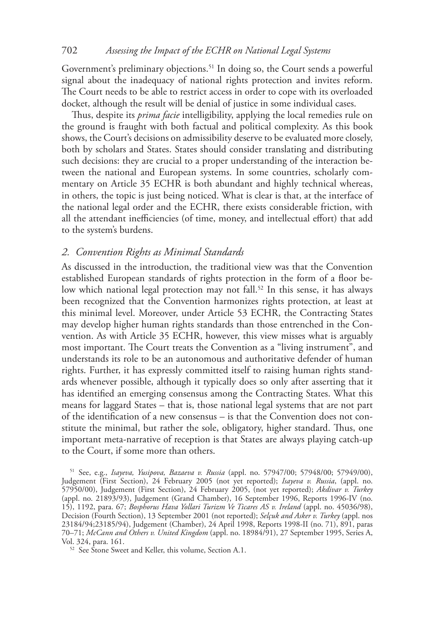Government's preliminary objections.51 In doing so, the Court sends a powerful signal about the inadequacy of national rights protection and invites reform. The Court needs to be able to restrict access in order to cope with its overloaded docket, although the result will be denial of justice in some individual cases.

Thus, despite its *prima facie* intelligibility, applying the local remedies rule on the ground is fraught with both factual and political complexity. As this book shows, the Court's decisions on admissibility deserve to be evaluated more closely, both by scholars and States. States should consider translating and distributing such decisions: they are crucial to a proper understanding of the interaction between the national and European systems. In some countries, scholarly commentary on Article 35 ECHR is both abundant and highly technical whereas, in others, the topic is just being noticed. What is clear is that, at the interface of the national legal order and the ECHR, there exists considerable friction, with all the attendant inefficiencies (of time, money, and intellectual effort) that add to the system's burdens.

### *2. Convention Rights as Minimal Standards*

As discussed in the introduction, the traditional view was that the Convention established European standards of rights protection in the form of a floor below which national legal protection may not fall.<sup>52</sup> In this sense, it has always been recognized that the Convention harmonizes rights protection, at least at this minimal level. Moreover, under Article 53 ECHR, the Contracting States may develop higher human rights standards than those entrenched in the Convention. As with Article 35 ECHR, however, this view misses what is arguably most important. The Court treats the Convention as a "living instrument", and understands its role to be an autonomous and authoritative defender of human rights. Further, it has expressly committed itself to raising human rights standards whenever possible, although it typically does so only after asserting that it has identified an emerging consensus among the Contracting States. What this means for laggard States – that is, those national legal systems that are not part of the identification of a new consensus – is that the Convention does not constitute the minimal, but rather the sole, obligatory, higher standard. Thus, one important meta-narrative of reception is that States are always playing catch-up to the Court, if some more than others.

<sup>51</sup> See, e.g., *Isayeva, Yusipova, Bazaeva v. Russia* (appl. no. 57947/00; 57948/00; 57949/00), Judgement (First Section), 24 February 2005 (not yet reported); *Isayeva v. Russia*, (appl. no. 57950/00), Judgement (First Section), 24 February 2005, (not yet reported); *Akdivar v. Turkey* (appl. no. 21893/93), Judgement (Grand Chamber), 16 September 1996, Reports 1996-IV (no. 15), 1192, para. 67; *Bosphorus Hava Yollari Turizm Ve Ticares AS v. Ireland* (appl. no. 45036/98), Decision (Fourth Section), 13 September 2001 (not reported); *Selçuk and Asker v. Turkey* (appl. nos 23184/94;23185/94), Judgement (Chamber), 24 April 1998, Reports 1998-II (no. 71), 891, paras 70–71; *McCann and Others v. United Kingdom* (appl. no. 18984/91), 27 September 1995, Series A, Vol. 324, para. 161.

<sup>52</sup> See Stone Sweet and Keller, this volume, Section A.1.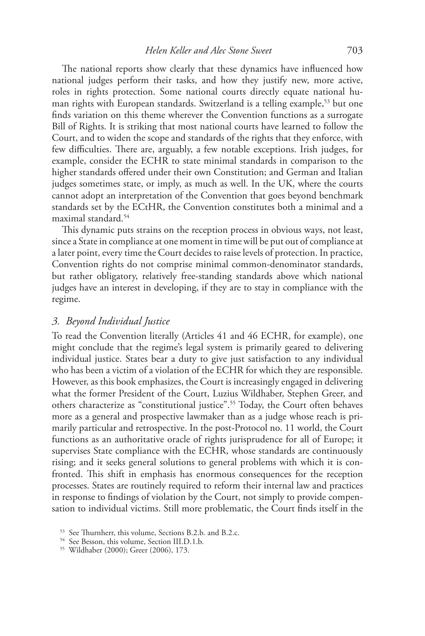The national reports show clearly that these dynamics have influenced how national judges perform their tasks, and how they justify new, more active, roles in rights protection. Some national courts directly equate national human rights with European standards. Switzerland is a telling example,<sup>53</sup> but one finds variation on this theme wherever the Convention functions as a surrogate Bill of Rights. It is striking that most national courts have learned to follow the Court, and to widen the scope and standards of the rights that they enforce, with few difficulties. There are, arguably, a few notable exceptions. Irish judges, for example, consider the ECHR to state minimal standards in comparison to the higher standards offered under their own Constitution; and German and Italian judges sometimes state, or imply, as much as well. In the UK, where the courts cannot adopt an interpretation of the Convention that goes beyond benchmark standards set by the ECtHR, the Convention constitutes both a minimal and a maximal standard.54

This dynamic puts strains on the reception process in obvious ways, not least, since a State in compliance at one moment in time will be put out of compliance at a later point, every time the Court decides to raise levels of protection. In practice, Convention rights do not comprise minimal common-denominator standards, but rather obligatory, relatively free-standing standards above which national judges have an interest in developing, if they are to stay in compliance with the regime.

#### *3. Beyond Individual Justice*

To read the Convention literally (Articles 41 and 46 ECHR, for example), one might conclude that the regime's legal system is primarily geared to delivering individual justice. States bear a duty to give just satisfaction to any individual who has been a victim of a violation of the ECHR for which they are responsible. However, as this book emphasizes, the Court is increasingly engaged in delivering what the former President of the Court, Luzius Wildhaber, Stephen Greer, and others characterize as "constitutional justice".55 Today, the Court often behaves more as a general and prospective lawmaker than as a judge whose reach is primarily particular and retrospective. In the post-Protocol no. 11 world, the Court functions as an authoritative oracle of rights jurisprudence for all of Europe; it supervises State compliance with the ECHR, whose standards are continuously rising; and it seeks general solutions to general problems with which it is confronted. This shift in emphasis has enormous consequences for the reception processes. States are routinely required to reform their internal law and practices in response to findings of violation by the Court, not simply to provide compensation to individual victims. Still more problematic, the Court finds itself in the

<sup>53</sup> See Thurnherr, this volume, Sections B.2.b. and B.2.c. 54 See Besson, this volume, Section III.D.1.b.

<sup>55</sup> Wildhaber (2000); Greer (2006), 173.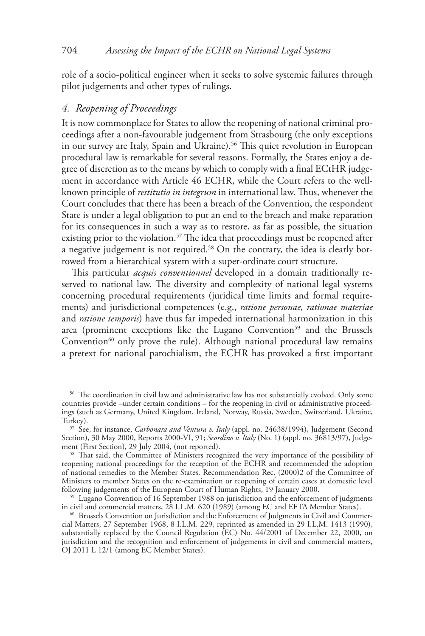role of a socio-political engineer when it seeks to solve systemic failures through pilot judgements and other types of rulings.

## *4. Reopening of Proceedings*

It is now commonplace for States to allow the reopening of national criminal proceedings after a non-favourable judgement from Strasbourg (the only exceptions in our survey are Italy, Spain and Ukraine).<sup>56</sup> This quiet revolution in European procedural law is remarkable for several reasons. Formally, the States enjoy a degree of discretion as to the means by which to comply with a final ECtHR judgement in accordance with Article 46 ECHR, while the Court refers to the wellknown principle of *restitutio in integrum* in international law. Thus, whenever the Court concludes that there has been a breach of the Convention, the respondent State is under a legal obligation to put an end to the breach and make reparation for its consequences in such a way as to restore, as far as possible, the situation existing prior to the violation.<sup>57</sup> The idea that proceedings must be reopened after a negative judgement is not required.58 On the contrary, the idea is clearly borrowed from a hierarchical system with a super-ordinate court structure.

This particular *acquis conventionnel* developed in a domain traditionally reserved to national law. The diversity and complexity of national legal systems concerning procedural requirements (juridical time limits and formal requirements) and jurisdictional competences (e.g., *ratione personae, rationae materiae* and *ratione temporis*) have thus far impeded international harmonization in this area (prominent exceptions like the Lugano Convention<sup>59</sup> and the Brussels Convention $60$  only prove the rule). Although national procedural law remains a pretext for national parochialism, the ECHR has provoked a first important

<sup>&</sup>lt;sup>56</sup> The coordination in civil law and administrative law has not substantially evolved. Only some countries provide –under certain conditions – for the reopening in civil or administrative proceedings (such as Germany, United Kingdom, Ireland, Norway, Russia, Sweden, Switzerland, Ukraine,

<sup>&</sup>lt;sup>57</sup> See, for instance, *Carbonara and Ventura v. Italy* (appl. no. 24638/1994), Judgement (Second Section), 30 May 2000, Reports 2000-VI, 91; *Scordino v. Italy* (No. 1) (appl. no. 36813/97), Judgement (First Section), 29 July 2004, (not reported).

<sup>58</sup> That said, the Committee of Ministers recognized the very importance of the possibility of reopening national proceedings for the reception of the ECHR and recommended the adoption of national remedies to the Member States. Recommendation Rec. (2000)2 of the Committee of Ministers to member States on the re-examination or reopening of certain cases at domestic level following judgements of the European Court of Human Rights, 19 January 2000.

<sup>59</sup> Lugano Convention of 16 September 1988 on jurisdiction and the enforcement of judgments in civil and commercial matters, 28 I.L.M. 620 (1989) (among EC and EFTA Member States).

<sup>60</sup> Brussels Convention on Jurisdiction and the Enforcement of Judgments in Civil and Commercial Matters, 27 September 1968, 8 I.L.M. 229, reprinted as amended in 29 I.L.M. 1413 (1990), substantially replaced by the Council Regulation (EC) No. 44/2001 of December 22, 2000, on jurisdiction and the recognition and enforcement of judgements in civil and commercial matters, OJ 2011 L 12/1 (among EC Member States).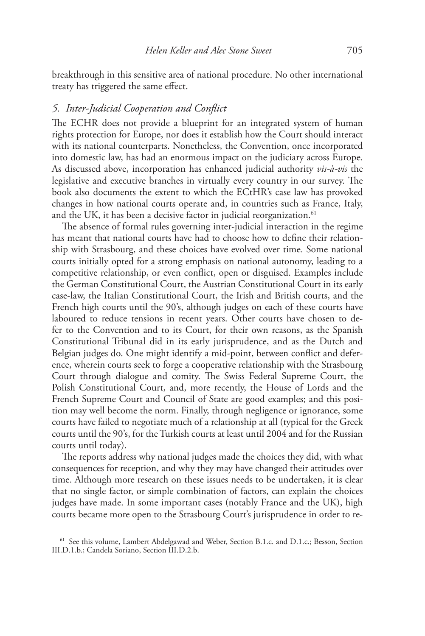breakthrough in this sensitive area of national procedure. No other international treaty has triggered the same effect.

#### *5. Inter-Judicial Cooperation and Conflict*

The ECHR does not provide a blueprint for an integrated system of human rights protection for Europe, nor does it establish how the Court should interact with its national counterparts. Nonetheless, the Convention, once incorporated into domestic law, has had an enormous impact on the judiciary across Europe. As discussed above, incorporation has enhanced judicial authority *vis-à-vis* the legislative and executive branches in virtually every country in our survey. The book also documents the extent to which the ECtHR's case law has provoked changes in how national courts operate and, in countries such as France, Italy, and the UK, it has been a decisive factor in judicial reorganization.<sup>61</sup>

The absence of formal rules governing inter-judicial interaction in the regime has meant that national courts have had to choose how to define their relationship with Strasbourg, and these choices have evolved over time. Some national courts initially opted for a strong emphasis on national autonomy, leading to a competitive relationship, or even conflict, open or disguised. Examples include the German Constitutional Court, the Austrian Constitutional Court in its early case-law, the Italian Constitutional Court, the Irish and British courts, and the French high courts until the 90's, although judges on each of these courts have laboured to reduce tensions in recent years. Other courts have chosen to defer to the Convention and to its Court, for their own reasons, as the Spanish Constitutional Tribunal did in its early jurisprudence, and as the Dutch and Belgian judges do. One might identify a mid-point, between conflict and deference, wherein courts seek to forge a cooperative relationship with the Strasbourg Court through dialogue and comity. The Swiss Federal Supreme Court, the Polish Constitutional Court, and, more recently, the House of Lords and the French Supreme Court and Council of State are good examples; and this position may well become the norm. Finally, through negligence or ignorance, some courts have failed to negotiate much of a relationship at all (typical for the Greek courts until the 90's, for the Turkish courts at least until 2004 and for the Russian courts until today).

The reports address why national judges made the choices they did, with what consequences for reception, and why they may have changed their attitudes over time. Although more research on these issues needs to be undertaken, it is clear that no single factor, or simple combination of factors, can explain the choices judges have made. In some important cases (notably France and the UK), high courts became more open to the Strasbourg Court's jurisprudence in order to re-

<sup>61</sup> See this volume, Lambert Abdelgawad and Weber, Section B.1.c. and D.1.c.; Besson, Section III.D.1.b.; Candela Soriano, Section III.D.2.b.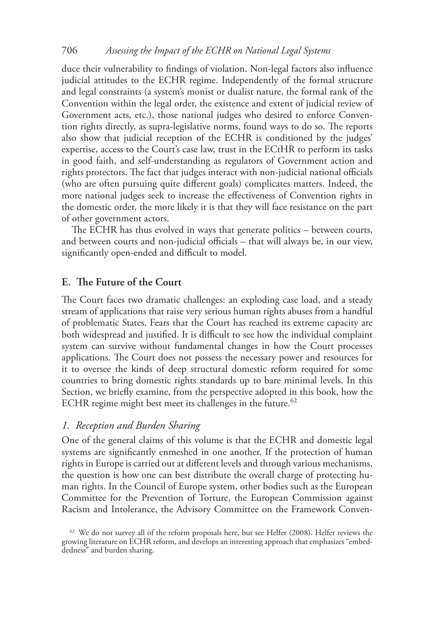duce their vulnerability to findings of violation. Non-legal factors also influence judicial attitudes to the ECHR regime. Independently of the formal structure and legal constraints (a system's monist or dualist nature, the formal rank of the Convention within the legal order, the existence and extent of judicial review of Government acts, etc.), those national judges who desired to enforce Convention rights directly, as supra-legislative norms, found ways to do so. The reports also show that judicial reception of the ECHR is conditioned by the judges' expertise, access to the Court's case law, trust in the ECtHR to perform its tasks in good faith, and self-understanding as regulators of Government action and rights protectors. The fact that judges interact with non-judicial national officials (who are often pursuing quite different goals) complicates matters. Indeed, the more national judges seek to increase the effectiveness of Convention rights in the domestic order, the more likely it is that they will face resistance on the part of other government actors.

The ECHR has thus evolved in ways that generate politics – between courts, and between courts and non-judicial officials – that will always be, in our view, significantly open-ended and difficult to model.

## **E. The Future of the Court**

The Court faces two dramatic challenges: an exploding case load, and a steady stream of applications that raise very serious human rights abuses from a handful of problematic States. Fears that the Court has reached its extreme capacity are both widespread and justified. It is difficult to see how the individual complaint system can survive without fundamental changes in how the Court processes applications. The Court does not possess the necessary power and resources for it to oversee the kinds of deep structural domestic reform required for some countries to bring domestic rights standards up to bare minimal levels. In this Section, we briefly examine, from the perspective adopted in this book, how the ECHR regime might best meet its challenges in the future.<sup>62</sup>

## *1. Reception and Burden Sharing*

One of the general claims of this volume is that the ECHR and domestic legal systems are significantly enmeshed in one another. If the protection of human rights in Europe is carried out at different levels and through various mechanisms, the question is how one can best distribute the overall charge of protecting human rights. In the Council of Europe system, other bodies such as the European Committee for the Prevention of Torture, the European Commission against Racism and Intolerance, the Advisory Committee on the Framework Conven-

 $62$  We do not survey all of the reform proposals here, but see Helfer (2008). Helfer reviews the growing literature on ECHR reform, and develops an interesting approach that emphasizes "embeddedness" and burden sharing.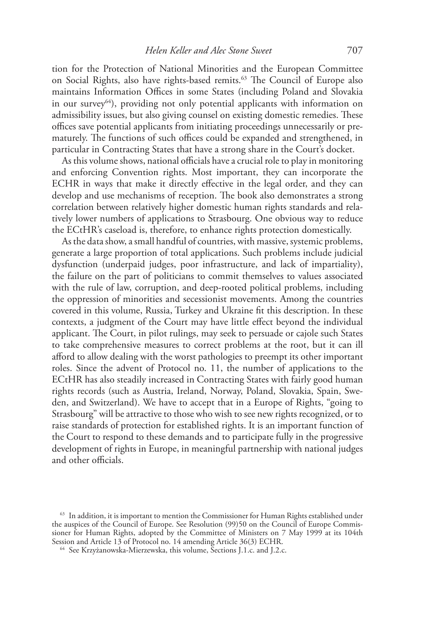tion for the Protection of National Minorities and the European Committee on Social Rights, also have rights-based remits.<sup>63</sup> The Council of Europe also maintains Information Offices in some States (including Poland and Slovakia in our survey<sup>64</sup>), providing not only potential applicants with information on admissibility issues, but also giving counsel on existing domestic remedies. These offices save potential applicants from initiating proceedings unnecessarily or prematurely. The functions of such offices could be expanded and strengthened, in particular in Contracting States that have a strong share in the Court's docket.

As this volume shows, national officials have a crucial role to play in monitoring and enforcing Convention rights. Most important, they can incorporate the ECHR in ways that make it directly effective in the legal order, and they can develop and use mechanisms of reception. The book also demonstrates a strong correlation between relatively higher domestic human rights standards and relatively lower numbers of applications to Strasbourg. One obvious way to reduce the ECtHR's caseload is, therefore, to enhance rights protection domestically.

As the data show, a small handful of countries, with massive, systemic problems, generate a large proportion of total applications. Such problems include judicial dysfunction (underpaid judges, poor infrastructure, and lack of impartiality), the failure on the part of politicians to commit themselves to values associated with the rule of law, corruption, and deep-rooted political problems, including the oppression of minorities and secessionist movements. Among the countries covered in this volume, Russia, Turkey and Ukraine fit this description. In these contexts, a judgment of the Court may have little effect beyond the individual applicant. The Court, in pilot rulings, may seek to persuade or cajole such States to take comprehensive measures to correct problems at the root, but it can ill afford to allow dealing with the worst pathologies to preempt its other important roles. Since the advent of Protocol no. 11, the number of applications to the ECtHR has also steadily increased in Contracting States with fairly good human rights records (such as Austria, Ireland, Norway, Poland, Slovakia, Spain, Sweden, and Switzerland). We have to accept that in a Europe of Rights, "going to Strasbourg" will be attractive to those who wish to see new rights recognized, or to raise standards of protection for established rights. It is an important function of the Court to respond to these demands and to participate fully in the progressive development of rights in Europe, in meaningful partnership with national judges and other officials.

<sup>&</sup>lt;sup>63</sup> In addition, it is important to mention the Commissioner for Human Rights established under the auspices of the Council of Europe. See Resolution (99)50 on the Council of Europe Commissioner for Human Rights, adopted by the Committee of Ministers on 7 May 1999 at its 104th Session and Article 13 of Protocol no. 14 amending Article 36(3) ECHR.

<sup>64</sup> See Krzyżanowska-Mierzewska, this volume, Sections J.1.c. and J.2.c.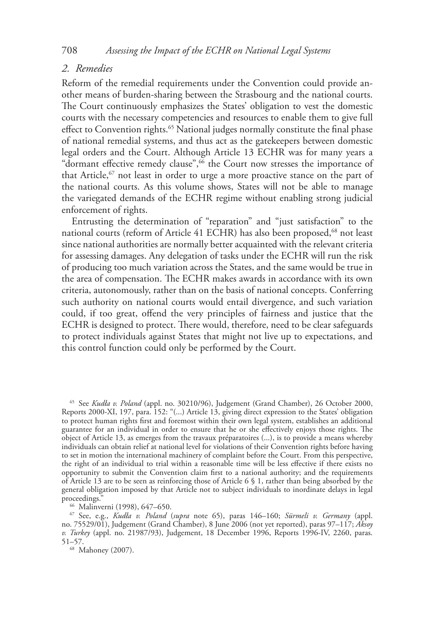# *2. Remedies*

Reform of the remedial requirements under the Convention could provide another means of burden-sharing between the Strasbourg and the national courts. The Court continuously emphasizes the States' obligation to vest the domestic courts with the necessary competencies and resources to enable them to give full effect to Convention rights.<sup>65</sup> National judges normally constitute the final phase of national remedial systems, and thus act as the gatekeepers between domestic legal orders and the Court. Although Article 13 ECHR was for many years a "dormant effective remedy clause",<sup>66</sup> the Court now stresses the importance of that Article,<sup>67</sup> not least in order to urge a more proactive stance on the part of the national courts. As this volume shows, States will not be able to manage the variegated demands of the ECHR regime without enabling strong judicial enforcement of rights.

Entrusting the determination of "reparation" and "just satisfaction" to the national courts (reform of Article 41 ECHR) has also been proposed,<sup>68</sup> not least since national authorities are normally better acquainted with the relevant criteria for assessing damages. Any delegation of tasks under the ECHR will run the risk of producing too much variation across the States, and the same would be true in the area of compensation. The ECHR makes awards in accordance with its own criteria, autonomously, rather than on the basis of national concepts. Conferring such authority on national courts would entail divergence, and such variation could, if too great, offend the very principles of fairness and justice that the ECHR is designed to protect. There would, therefore, need to be clear safeguards to protect individuals against States that might not live up to expectations, and this control function could only be performed by the Court.

<sup>65</sup> See *Kudła v. Poland* (appl. no. 30210/96), Judgement (Grand Chamber), 26 October 2000, Reports 2000-XI, 197, para. 152: "(...) Article 13, giving direct expression to the States' obligation to protect human rights first and foremost within their own legal system, establishes an additional guarantee for an individual in order to ensure that he or she effectively enjoys those rights. The object of Article 13, as emerges from the travaux préparatoires (...), is to provide a means whereby individuals can obtain relief at national level for violations of their Convention rights before having to set in motion the international machinery of complaint before the Court. From this perspective, the right of an individual to trial within a reasonable time will be less effective if there exists no opportunity to submit the Convention claim first to a national authority; and the requirements of Article 13 are to be seen as reinforcing those of Article 6 § 1, rather than being absorbed by the general obligation imposed by that Article not to subject individuals to inordinate delays in legal proceedings."<br><sup>66</sup> Malinverni (1998), 647–650.

<sup>67</sup> See, e.g., *Kudła v. Poland* (*supra* note 65), paras 146–160; Sürmeli v. Germany (appl. no. 75529/01), Judgement (Grand Chamber), 8 June 2006 (not yet reported), paras 97–117; *Aksoy v. Turkey* (appl. no. 21987/93), Judgement, 18 December 1996, Reports 1996-IV, 2260, paras. 51–57.

<sup>68</sup> Mahoney (2007).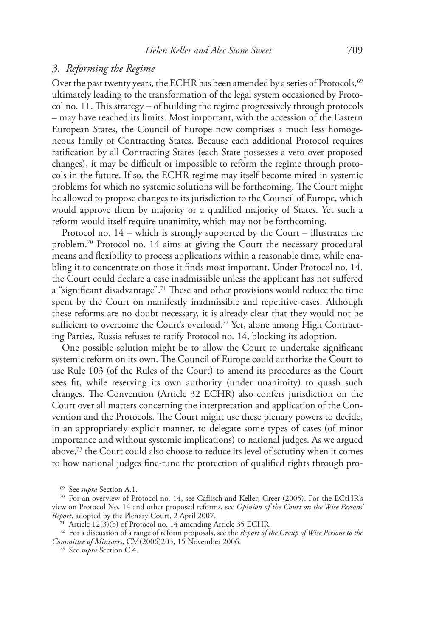## *3. Reforming the Regime*

Over the past twenty years, the ECHR has been amended by a series of Protocols,<sup>69</sup> ultimately leading to the transformation of the legal system occasioned by Protocol no. 11. This strategy – of building the regime progressively through protocols – may have reached its limits. Most important, with the accession of the Eastern European States, the Council of Europe now comprises a much less homogeneous family of Contracting States. Because each additional Protocol requires ratification by all Contracting States (each State possesses a veto over proposed changes), it may be difficult or impossible to reform the regime through protocols in the future. If so, the ECHR regime may itself become mired in systemic problems for which no systemic solutions will be forthcoming. The Court might be allowed to propose changes to its jurisdiction to the Council of Europe, which would approve them by majority or a qualified majority of States. Yet such a reform would itself require unanimity, which may not be forthcoming.

Protocol no. 14 – which is strongly supported by the Court – illustrates the problem.70 Protocol no. 14 aims at giving the Court the necessary procedural means and flexibility to process applications within a reasonable time, while enabling it to concentrate on those it finds most important. Under Protocol no. 14, the Court could declare a case inadmissible unless the applicant has not suffered a "significant disadvantage".71 These and other provisions would reduce the time spent by the Court on manifestly inadmissible and repetitive cases. Although these reforms are no doubt necessary, it is already clear that they would not be sufficient to overcome the Court's overload.<sup>72</sup> Yet, alone among High Contracting Parties, Russia refuses to ratify Protocol no. 14, blocking its adoption.

One possible solution might be to allow the Court to undertake significant systemic reform on its own. The Council of Europe could authorize the Court to use Rule 103 (of the Rules of the Court) to amend its procedures as the Court sees fit, while reserving its own authority (under unanimity) to quash such changes. The Convention (Article 32 ECHR) also confers jurisdiction on the Court over all matters concerning the interpretation and application of the Convention and the Protocols. The Court might use these plenary powers to decide, in an appropriately explicit manner, to delegate some types of cases (of minor importance and without systemic implications) to national judges. As we argued above,73 the Court could also choose to reduce its level of scrutiny when it comes to how national judges fine-tune the protection of qualified rights through pro-

<sup>69</sup> See *supra* Section A.1.

<sup>70</sup> For an overview of Protocol no. 14, see Caflisch and Keller; Greer (2005). For the ECtHR's view on Protocol No. 14 and other proposed reforms, see *Opinion of the Court on the Wise Persons' Report*, adopted by the Plenary Court, 2 April 2007.

<sup>71</sup> Article 12(3)(b) of Protocol no. 14 amending Article 35 ECHR.

<sup>72</sup> For a discussion of a range of reform proposals, see the *Report of the Group of Wise Persons to the Committee of Ministers*, CM(2006)203, 15 November 2006.

<sup>73</sup> See *supra* Section C.4.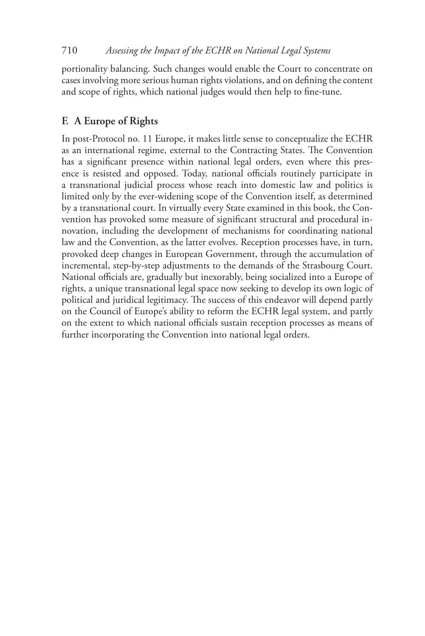portionality balancing. Such changes would enable the Court to concentrate on cases involving more serious human rights violations, and on defining the content and scope of rights, which national judges would then help to fine-tune.

# **F. A Europe of Rights**

In post-Protocol no. 11 Europe, it makes little sense to conceptualize the ECHR as an international regime, external to the Contracting States. The Convention has a significant presence within national legal orders, even where this presence is resisted and opposed. Today, national officials routinely participate in a transnational judicial process whose reach into domestic law and politics is limited only by the ever-widening scope of the Convention itself, as determined by a transnational court. In virtually every State examined in this book, the Convention has provoked some measure of significant structural and procedural innovation, including the development of mechanisms for coordinating national law and the Convention, as the latter evolves. Reception processes have, in turn, provoked deep changes in European Government, through the accumulation of incremental, step-by-step adjustments to the demands of the Strasbourg Court. National officials are, gradually but inexorably, being socialized into a Europe of rights, a unique transnational legal space now seeking to develop its own logic of political and juridical legitimacy. The success of this endeavor will depend partly on the Council of Europe's ability to reform the ECHR legal system, and partly on the extent to which national officials sustain reception processes as means of further incorporating the Convention into national legal orders.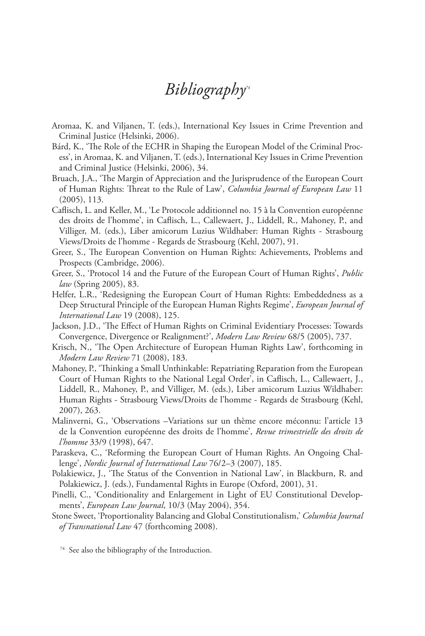# *Bibliography74*

- Aromaa, K. and Viljanen, T. (eds.), International Key Issues in Crime Prevention and Criminal Justice (Helsinki, 2006).
- Bárd, K., 'The Role of the ECHR in Shaping the European Model of the Criminal Process', in Aromaa, K. and Viljanen, T. (eds.), International Key Issues in Crime Prevention and Criminal Justice (Helsinki, 2006), 34.
- Bruach, J.A., 'The Margin of Appreciation and the Jurisprudence of the European Court of Human Rights: Threat to the Rule of Law', *Columbia Journal of European Law* 11 (2005), 113.
- Caflisch, L. and Keller, M., 'Le Protocole additionnel no. 15 à la Convention européenne des droits de l'homme', in Caflisch, L., Callewaert, J., Liddell, R., Mahoney, P., and Villiger, M. (eds.), Liber amicorum Luzius Wildhaber: Human Rights - Strasbourg Views/Droits de l'homme - Regards de Strasbourg (Kehl, 2007), 91.
- Greer, S., The European Convention on Human Rights: Achievements, Problems and Prospects (Cambridge, 2006).
- Greer, S., 'Protocol 14 and the Future of the European Court of Human Rights', *Public law* (Spring 2005), 83.
- Helfer, L.R., 'Redesigning the European Court of Human Rights: Embeddedness as a Deep Structural Principle of the European Human Rights Regime', *European Journal of International Law* 19 (2008), 125.
- Jackson, J.D., 'The Effect of Human Rights on Criminal Evidentiary Processes: Towards Convergence, Divergence or Realignment?', *Modern Law Review* 68/5 (2005), 737.
- Krisch, N., 'The Open Architecture of European Human Rights Law', forthcoming in *Modern Law Review* 71 (2008), 183.
- Mahoney, P., 'Thinking a Small Unthinkable: Repatriating Reparation from the European Court of Human Rights to the National Legal Order', in Caflisch, L., Callewaert, J., Liddell, R., Mahoney, P., and Villiger, M. (eds.), Liber amicorum Luzius Wildhaber: Human Rights - Strasbourg Views/Droits de l'homme - Regards de Strasbourg (Kehl, 2007), 263.
- Malinverni, G., 'Observations –Variations sur un thème encore méconnu: l'article 13 de la Convention européenne des droits de l'homme', *Revue trimestrielle des droits de l'homme* 33/9 (1998), 647.
- Paraskeva, C., 'Reforming the European Court of Human Rights. An Ongoing Challenge', *Nordic Journal of International Law* 76/2–3 (2007), 185.
- Polakiewicz, J., 'The Status of the Convention in National Law', in Blackburn, R. and Polakiewicz, J. (eds.), Fundamental Rights in Europe (Oxford, 2001), 31.
- Pinelli, C., 'Conditionality and Enlargement in Light of EU Constitutional Developments', *European Law Journal*, 10/3 (May 2004), 354.
- Stone Sweet, 'Proportionality Balancing and Global Constitutionalism,' *Columbia Journal of Transnational Law* 47 (forthcoming 2008).
	- <sup>74</sup> See also the bibliography of the Introduction.